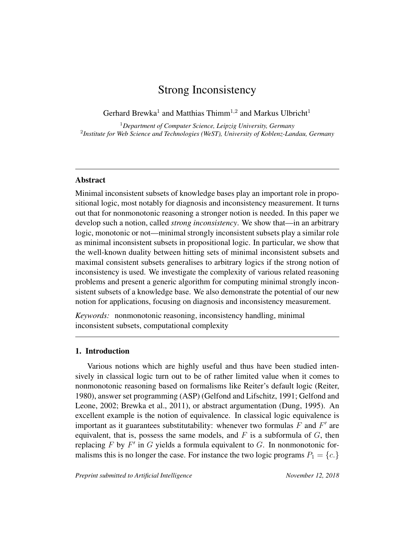# Strong Inconsistency

Gerhard Brewka<sup>1</sup> and Matthias Thimm<sup>1,2</sup> and Markus Ulbricht<sup>1</sup>

<sup>1</sup>*Department of Computer Science, Leipzig University, Germany* 2 *Institute for Web Science and Technologies (WeST), University of Koblenz-Landau, Germany*

# Abstract

Minimal inconsistent subsets of knowledge bases play an important role in propositional logic, most notably for diagnosis and inconsistency measurement. It turns out that for nonmonotonic reasoning a stronger notion is needed. In this paper we develop such a notion, called *strong inconsistency*. We show that—in an arbitrary logic, monotonic or not—minimal strongly inconsistent subsets play a similar role as minimal inconsistent subsets in propositional logic. In particular, we show that the well-known duality between hitting sets of minimal inconsistent subsets and maximal consistent subsets generalises to arbitrary logics if the strong notion of inconsistency is used. We investigate the complexity of various related reasoning problems and present a generic algorithm for computing minimal strongly inconsistent subsets of a knowledge base. We also demonstrate the potential of our new notion for applications, focusing on diagnosis and inconsistency measurement.

*Keywords:* nonmonotonic reasoning, inconsistency handling, minimal inconsistent subsets, computational complexity

## 1. Introduction

Various notions which are highly useful and thus have been studied intensively in classical logic turn out to be of rather limited value when it comes to nonmonotonic reasoning based on formalisms like Reiter's default logic (Reiter, 1980), answer set programming (ASP) (Gelfond and Lifschitz, 1991; Gelfond and Leone, 2002; Brewka et al., 2011), or abstract argumentation (Dung, 1995). An excellent example is the notion of equivalence. In classical logic equivalence is important as it guarantees substitutability: whenever two formulas  $F$  and  $F'$  are equivalent, that is, possess the same models, and  $F$  is a subformula of  $G$ , then replacing  $F$  by  $F'$  in  $G$  yields a formula equivalent to  $G$ . In nonmonotonic formalisms this is no longer the case. For instance the two logic programs  $P_1 = \{c.\}$ 

*Preprint submitted to Artificial Intelligence* November 12, 2018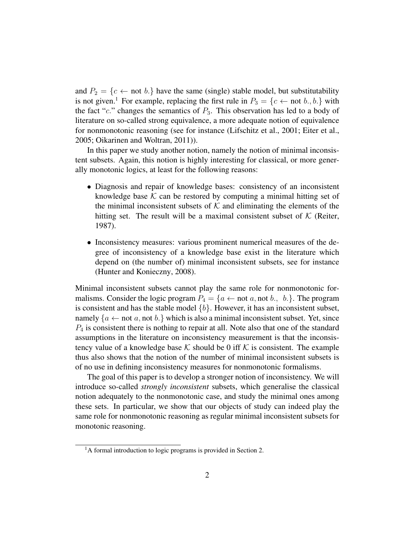and  $P_2 = \{c \leftarrow \text{not } b.\}$  have the same (single) stable model, but substitutability is not given.<sup>1</sup> For example, replacing the first rule in  $P_3 = \{c \leftarrow \text{not } b., b.\}$  with the fact "c." changes the semantics of  $P_3$ . This observation has led to a body of literature on so-called strong equivalence, a more adequate notion of equivalence for nonmonotonic reasoning (see for instance (Lifschitz et al., 2001; Eiter et al., 2005; Oikarinen and Woltran, 2011)).

In this paper we study another notion, namely the notion of minimal inconsistent subsets. Again, this notion is highly interesting for classical, or more generally monotonic logics, at least for the following reasons:

- Diagnosis and repair of knowledge bases: consistency of an inconsistent knowledge base  $K$  can be restored by computing a minimal hitting set of the minimal inconsistent subsets of  $K$  and eliminating the elements of the hitting set. The result will be a maximal consistent subset of  $K$  (Reiter, 1987).
- Inconsistency measures: various prominent numerical measures of the degree of inconsistency of a knowledge base exist in the literature which depend on (the number of) minimal inconsistent subsets, see for instance (Hunter and Konieczny, 2008).

Minimal inconsistent subsets cannot play the same role for nonmonotonic formalisms. Consider the logic program  $P_4 = \{a \leftarrow \text{not } a, \text{not } b., \, b.\}$ . The program is consistent and has the stable model  $\{b\}$ . However, it has an inconsistent subset, namely  ${a \leftarrow not a, not b.}$  which is also a minimal inconsistent subset. Yet, since  $P_4$  is consistent there is nothing to repair at all. Note also that one of the standard assumptions in the literature on inconsistency measurement is that the inconsistency value of a knowledge base  $K$  should be 0 iff  $K$  is consistent. The example thus also shows that the notion of the number of minimal inconsistent subsets is of no use in defining inconsistency measures for nonmonotonic formalisms.

The goal of this paper is to develop a stronger notion of inconsistency. We will introduce so-called *strongly inconsistent* subsets, which generalise the classical notion adequately to the nonmonotonic case, and study the minimal ones among these sets. In particular, we show that our objects of study can indeed play the same role for nonmonotonic reasoning as regular minimal inconsistent subsets for monotonic reasoning.

<sup>&</sup>lt;sup>1</sup>A formal introduction to logic programs is provided in Section 2.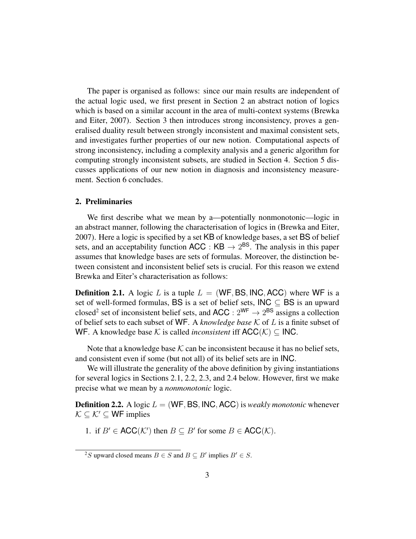The paper is organised as follows: since our main results are independent of the actual logic used, we first present in Section 2 an abstract notion of logics which is based on a similar account in the area of multi-context systems (Brewka and Eiter, 2007). Section 3 then introduces strong inconsistency, proves a generalised duality result between strongly inconsistent and maximal consistent sets, and investigates further properties of our new notion. Computational aspects of strong inconsistency, including a complexity analysis and a generic algorithm for computing strongly inconsistent subsets, are studied in Section 4. Section 5 discusses applications of our new notion in diagnosis and inconsistency measurement. Section 6 concludes.

# 2. Preliminaries

We first describe what we mean by a—potentially nonmonotonic—logic in an abstract manner, following the characterisation of logics in (Brewka and Eiter, 2007). Here a logic is specified by a set KB of knowledge bases, a set BS of belief sets, and an acceptability function ACC :  $KB \rightarrow 2^{BS}$ . The analysis in this paper assumes that knowledge bases are sets of formulas. Moreover, the distinction between consistent and inconsistent belief sets is crucial. For this reason we extend Brewka and Eiter's characterisation as follows:

**Definition 2.1.** A logic L is a tuple  $L = (WF, BS, INC, ACC)$  where WF is a set of well-formed formulas, BS is a set of belief sets,  $INC \subset BS$  is an upward closed<sup>2</sup> set of inconsistent belief sets, and  $ACC: 2^{WF} \rightarrow 2^{BS}$  assigns a collection of belief sets to each subset of WF. A *knowledge base* K of L is a finite subset of WF. A knowledge base K is called *inconsistent* iff  $ACC(\mathcal{K}) \subseteq \mathsf{INC}.$ 

Note that a knowledge base  $K$  can be inconsistent because it has no belief sets, and consistent even if some (but not all) of its belief sets are in INC.

We will illustrate the generality of the above definition by giving instantiations for several logics in Sections 2.1, 2.2, 2.3, and 2.4 below. However, first we make precise what we mean by a *nonmonotonic* logic.

**Definition 2.2.** A logic  $L = (WF, BS, INC, ACC)$  is *weakly monotonic* whenever  $\mathcal{K} \subseteq \mathcal{K}' \subseteq \mathsf{WF}$  implies

1. if  $B' \in ACC(K')$  then  $B \subseteq B'$  for some  $B \in ACC(K)$ .

<sup>&</sup>lt;sup>2</sup>S upward closed means  $B \in S$  and  $B \subseteq B'$  implies  $B' \in S$ .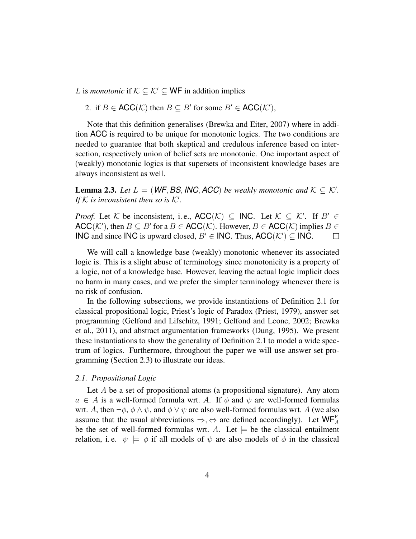*L* is *monotonic* if  $K \subseteq K' \subseteq WF$  in addition implies

2. if  $B \in \text{ACC}(\mathcal{K})$  then  $B \subseteq B'$  for some  $B' \in \text{ACC}(\mathcal{K}'),$ 

Note that this definition generalises (Brewka and Eiter, 2007) where in addition ACC is required to be unique for monotonic logics. The two conditions are needed to guarantee that both skeptical and credulous inference based on intersection, respectively union of belief sets are monotonic. One important aspect of (weakly) monotonic logics is that supersets of inconsistent knowledge bases are always inconsistent as well.

**Lemma 2.3.** Let  $L = (WF, BS, INC, ACC)$  be weakly monotonic and  $K \subseteq K'$ . If K is inconsistent then so is  $K'$ .

*Proof.* Let K be inconsistent, i.e.,  $\mathsf{ACC}(\mathcal{K}) \subseteq \mathsf{INC}.$  Let  $\mathcal{K} \subseteq \mathcal{K}'$ . If  $B' \in$  $\mathsf{ACC}(\mathcal{K}')$ , then  $B \subseteq B'$  for a  $B \in \mathsf{ACC}(\mathcal{K})$ . However,  $B \in \mathsf{ACC}(\mathcal{K})$  implies  $B \in$ INC and since INC is upward closed,  $B' \in \mathsf{INC}$ . Thus, ACC( $\mathcal{K}'$ ) ⊆ INC.  $\Box$ 

We will call a knowledge base (weakly) monotonic whenever its associated logic is. This is a slight abuse of terminology since monotonicity is a property of a logic, not of a knowledge base. However, leaving the actual logic implicit does no harm in many cases, and we prefer the simpler terminology whenever there is no risk of confusion.

In the following subsections, we provide instantiations of Definition 2.1 for classical propositional logic, Priest's logic of Paradox (Priest, 1979), answer set programming (Gelfond and Lifschitz, 1991; Gelfond and Leone, 2002; Brewka et al., 2011), and abstract argumentation frameworks (Dung, 1995). We present these instantiations to show the generality of Definition 2.1 to model a wide spectrum of logics. Furthermore, throughout the paper we will use answer set programming (Section 2.3) to illustrate our ideas.

## *2.1. Propositional Logic*

Let  $A$  be a set of propositional atoms (a propositional signature). Any atom  $a \in A$  is a well-formed formula wrt. A. If  $\phi$  and  $\psi$  are well-formed formulas wrt. A, then  $\neg \phi$ ,  $\phi \wedge \psi$ , and  $\phi \vee \psi$  are also well-formed formulas wrt. A (we also assume that the usual abbreviations  $\Rightarrow, \Leftrightarrow$  are defined accordingly). Let  $\mathsf{WF}_{A}^{\mathsf{P}}$ be the set of well-formed formulas wrt. A. Let  $\models$  be the classical entailment relation, i.e.  $\psi \models \phi$  if all models of  $\psi$  are also models of  $\phi$  in the classical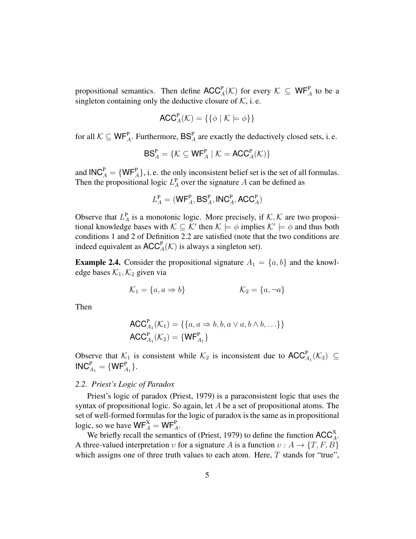propositional semantics. Then define  $\mathsf{ACC}^{\mathsf{P}}_A(\mathcal{K})$  for every  $\mathcal{K} \subseteq \mathsf{WF}^{\mathsf{P}}_A$  to be a singleton containing only the deductive closure of  $K$ , i.e.

$$
\mathsf{ACC}^{\mathsf{P}}_{A}(\mathcal{K}) = \{ \{ \phi \mid \mathcal{K} \models \phi \} \}
$$

for all  $K \subseteq WF_A^P$ . Furthermore,  $BS_A^P$  are exactly the deductively closed sets, i. e.

$$
\mathsf{BS}^{\mathsf{P}}_A = \{ \mathcal{K} \subseteq \mathsf{WF}^{\mathsf{P}}_A \mid \mathcal{K} = \mathsf{ACC}^{\mathsf{P}}_A(\mathcal{K}) \}
$$

and  $\mathsf{INC}_A^P = \{ \mathsf{WF}_A^P \}$ , i. e. the only inconsistent belief set is the set of all formulas. Then the propositional logic  $L_A^{\text{P}}$  over the signature A can be defined as

$$
L_A^{\mathbf{P}} = (\mathbf{W}\mathsf{F}_A^{\mathbf{P}}, \mathsf{BS}_A^{\mathbf{P}}, \mathsf{INC}_A^{\mathbf{P}}, \mathsf{ACC}_A^{\mathbf{P}})
$$

Observe that  $L_A^P$  is a monotonic logic. More precisely, if  $K, K$  are two propositional knowledge bases with  $\mathcal{K} \subseteq \mathcal{K}'$  then  $\mathcal{K} \models \phi$  implies  $\mathcal{K}' \models \phi$  and thus both conditions 1 and 2 of Definition 2.2 are satisfied (note that the two conditions are indeed equivalent as  $\mathsf{ACC}^{\mathsf{P}}_A(\mathcal{K})$  is always a singleton set).

**Example 2.4.** Consider the propositional signature  $A_1 = \{a, b\}$  and the knowledge bases  $\mathcal{K}_1, \mathcal{K}_2$  given via

$$
\mathcal{K}_1 = \{a, a \Rightarrow b\} \qquad \qquad \mathcal{K}_2 = \{a, \neg a\}
$$

Then

$$
ACC_{A_1}^{P}(\mathcal{K}_1) = \{ \{a, a \Rightarrow b, b, a \lor a, b \land b, ...\} \}
$$

$$
ACC_{A_1}^{P}(\mathcal{K}_2) = \{ WF_{A_1}^{P} \}
$$

Observe that  $\mathcal{K}_1$  is consistent while  $\mathcal{K}_2$  is inconsistent due to  $\mathsf{ACC}_{A_1}^{\mathsf{P}}(\mathcal{K}_2) \subseteq$  $\mathsf{INC}_{A_1}^{\mathsf{P}} = \{\mathsf{WF}_{A_1}^{\mathsf{P}}\}.$ 

#### *2.2. Priest's Logic of Paradox*

Priest's logic of paradox (Priest, 1979) is a paraconsistent logic that uses the syntax of propositional logic. So again, let  $A$  be a set of propositional atoms. The set of well-formed formulas for the logic of paradox is the same as in propositional logic, so we have  $\mathsf{WF}_{A}^{\mathbf{X}} = \mathsf{WF}_{A}^{\mathbf{P}}$ .

We briefly recall the semantics of (Priest, 1979) to define the function  $ACC_A^X$ . A three-valued interpretation v for a signature A is a function  $v : A \rightarrow \{T, F, B\}$ which assigns one of three truth values to each atom. Here,  $T$  stands for "true",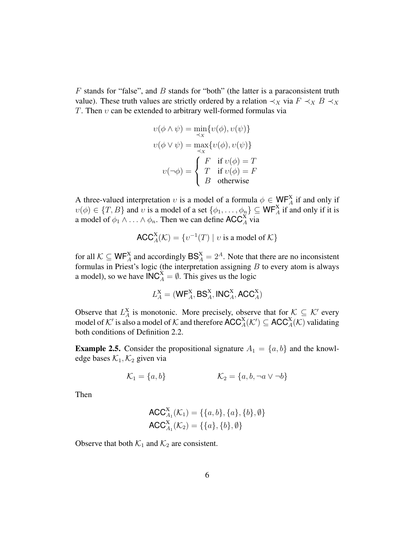$F$  stands for "false", and  $B$  stands for "both" (the latter is a paraconsistent truth value). These truth values are strictly ordered by a relation  $\prec_X$  via  $F \prec_X B \prec_X$ T. Then  $v$  can be extended to arbitrary well-formed formulas via

$$
v(\phi \land \psi) = \min_{\prec x} \{v(\phi), v(\psi)\}
$$

$$
v(\phi \lor \psi) = \max_{\prec x} \{v(\phi), v(\psi)\}
$$

$$
v(\neg \phi) = \begin{cases} F & \text{if } v(\phi) = T \\ T & \text{if } v(\phi) = F \\ B & \text{otherwise} \end{cases}
$$

A three-valued interpretation v is a model of a formula  $\phi \in \mathsf{WF}_{A}^{X}$  if and only if  $v(\phi) \in \{T, B\}$  and v is a model of a set  $\{\phi_1, \dots, \phi_n\} \subseteq \mathsf{WF}_A^{\mathsf{X}}$  if and only if it is a model of  $\phi_1 \wedge \ldots \wedge \phi_n$ . Then we can define ACC<sup>X</sup><sub>A</sub> via

$$
\mathsf{ACC}^X_A(\mathcal{K}) = \{v^{-1}(T) \mid v \text{ is a model of } \mathcal{K}\}\
$$

for all  $K \subseteq WF_A^X$  and accordingly  $BS_A^X = 2^A$ . Note that there are no inconsistent formulas in Priest's logic (the interpretation assigning  $B$  to every atom is always a model), so we have  $\mathsf{INC}_{A}^X = \emptyset$ . This gives us the logic

$$
L_A^{\rm X} = (\mathsf{WF}_A^{\rm X}, \mathsf{BS}_A^{\rm X}, \mathsf{INC}_A^{\rm X}, \mathsf{ACC}_A^{\rm X})
$$

Observe that  $L_A^X$  is monotonic. More precisely, observe that for  $K \subseteq K'$  every model of  $K'$  is also a model of  $K$  and therefore  $\mathsf{ACC}^X_A(\mathcal{K}') \subseteq \mathsf{ACC}^X_A(\mathcal{K})$  validating both conditions of Definition 2.2.

**Example 2.5.** Consider the propositional signature  $A_1 = \{a, b\}$  and the knowledge bases  $\mathcal{K}_1, \mathcal{K}_2$  given via

$$
\mathcal{K}_1 = \{a, b\} \qquad \qquad \mathcal{K}_2 = \{a, b, \neg a \lor \neg b\}
$$

Then

$$
ACC_{A_1}^X(\mathcal{K}_1) = \{\{a, b\}, \{a\}, \{b\}, \emptyset\}
$$

$$
ACC_{A_1}^X(\mathcal{K}_2) = \{\{a\}, \{b\}, \emptyset\}
$$

Observe that both  $\mathcal{K}_1$  and  $\mathcal{K}_2$  are consistent.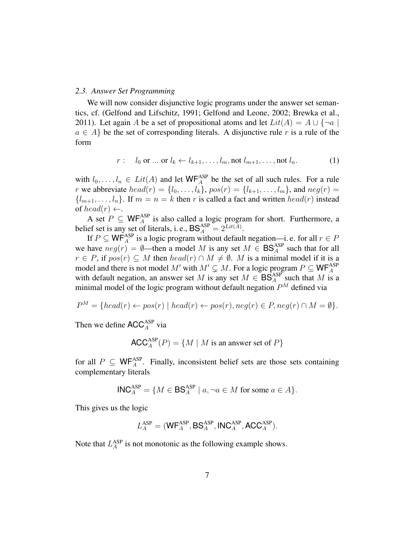#### *2.3. Answer Set Programming*

We will now consider disjunctive logic programs under the answer set semantics, cf. (Gelfond and Lifschitz, 1991; Gelfond and Leone, 2002; Brewka et al., 2011). Let again A be a set of propositional atoms and let  $Lit(A) = A \cup \{\neg a \mid$  $a \in A$  be the set of corresponding literals. A disjunctive rule r is a rule of the form

$$
r: l_0 \text{ or } ... \text{ or } l_k \leftarrow l_{k+1}, ..., l_m, \text{not } l_{m+1}, ..., \text{not } l_n.
$$
 (1)

with  $l_0, \ldots, l_n \in Lit(A)$  and let  $WF_A^{ASP}$  be the set of all such rules. For a rule r we abbreviate  $head(r) = \{l_0, \ldots, l_k\}$ ,  $pos(r) = \{l_{k+1}, \ldots, l_m\}$ , and  $neg(r) =$  ${l_{m+1}, \ldots, l_n}$ . If  $m = n = k$  then r is called a fact and written  $head(r)$  instead of head(r)  $\leftarrow$ .

A set  $P \subseteq \mathsf{WF}_{A}^{\text{ASP}}$  is also called a logic program for short. Furthermore, a belief set is any set of literals, i. e.,  $BS_A^{ASP} = 2^{Lit(\overline{A})}$ .

If  $P \subseteq \mathsf{WF}_{A}^{\text{ASP}}$  is a logic program without default negation—i. e. for all  $r \in P$ we have  $neg(r) = \emptyset$ —then a model M is any set  $M \in BS_A^{ASP}$  such that for all  $r \in P$ , if  $pos(r) \subseteq M$  then  $head(r) \cap M \neq \emptyset$ . M is a minimal model if it is a model and there is not model M' with  $M' \subsetneq M$ . For a logic program  $P \subseteq \mathsf{WF}_{A}^{\text{ASP}}$ with default negation, an answer set M is any set  $M \in \mathsf{BS}^{\mathrm{ASP}}_A$  such that M is a minimal model of the logic program without default negation  $P<sup>M</sup>$  defined via

$$
P^M = \{head(r) \leftarrow pos(r) \mid head(r) \leftarrow pos(r), neg(r) \in P, neg(r) \cap M = \emptyset\}.
$$

Then we define  $\mathsf{ACC}_A^{\mathrm{ASP}}$  via

$$
\mathsf{ACC}_A^{\mathrm{ASP}}(P) = \{ M \mid M \text{ is an answer set of } P \}
$$

for all  $P \subseteq \mathsf{WF}_{A}^{\text{ASP}}$ . Finally, inconsistent belief sets are those sets containing complementary literals

$$
\mathsf{INC}_A^{\mathsf{ASP}} = \{ M \in \mathsf{BS}_A^{\mathsf{ASP}} \mid a, \neg a \in M \text{ for some } a \in A \}.
$$

This gives us the logic

$$
L_{A}^{\mathrm{ASP}} = (\mathsf{WF}_{A}^{\mathrm{ASP}}, \mathsf{BS}_{A}^{\mathrm{ASP}}, \mathsf{INC}_{A}^{\mathrm{ASP}}, \mathsf{ACC}_{A}^{\mathrm{ASP}}).
$$

Note that  $L_A^{ASP}$  is not monotonic as the following example shows.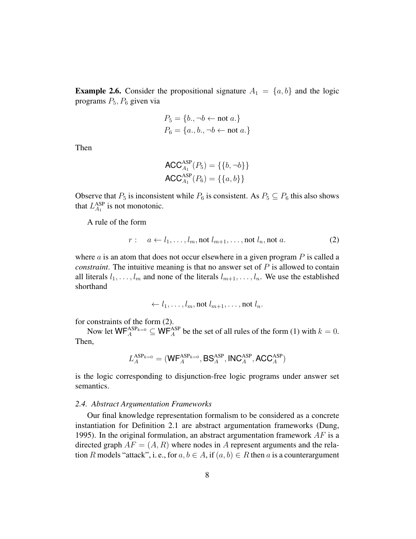**Example 2.6.** Consider the propositional signature  $A_1 = \{a, b\}$  and the logic programs  $P_5$ ,  $P_6$  given via

$$
P_5 = \{b, \neg b \leftarrow \text{not } a.\}
$$
  

$$
P_6 = \{a., b., \neg b \leftarrow \text{not } a.\}
$$

Then

$$
ACC_{A_1}^{ASP}(P_5) = \{\{b, \neg b\}\}\
$$

$$
ACC_{A_1}^{ASP}(P_6) = \{\{a, b\}\}\
$$

Observe that  $P_5$  is inconsistent while  $P_6$  is consistent. As  $P_5 \subseteq P_6$  this also shows that  $L_{A_1}^{\text{ASP}}$  is not monotonic.

A rule of the form

$$
r: a \leftarrow l_1, \dots, l_m, \text{not } l_{m+1}, \dots, \text{not } l_n, \text{not } a. \tag{2}
$$

where  $\alpha$  is an atom that does not occur elsewhere in a given program  $P$  is called a *constraint*. The intuitive meaning is that no answer set of P is allowed to contain all literals  $l_1, \ldots, l_m$  and none of the literals  $l_{m+1}, \ldots, l_n$ . We use the established shorthand

$$
\leftarrow l_1, \ldots, l_m, \text{not } l_{m+1}, \ldots, \text{not } l_n.
$$

for constraints of the form (2).

Now let  $\mathsf{WF}_{A}^{\text{ASP}_{k=0}} \subseteq \mathsf{WF}_{A}^{\text{ASP}}$  be the set of all rules of the form (1) with  $k = 0$ . Then,

$$
L_{A}^{\text{ASP}_{k=0}} = (\textsf{WF}_{A}^{\text{ASP}_{k=0}}, \textsf{BS}_{A}^{\text{ASP}}, \textsf{INC}_{A}^{\text{ASP}}, \textsf{ACC}_{A}^{\text{ASP}})
$$

is the logic corresponding to disjunction-free logic programs under answer set semantics.

#### *2.4. Abstract Argumentation Frameworks*

Our final knowledge representation formalism to be considered as a concrete instantiation for Definition 2.1 are abstract argumentation frameworks (Dung, 1995). In the original formulation, an abstract argumentation framework  $AF$  is a directed graph  $AF = (A, R)$  where nodes in A represent arguments and the relation R models "attack", i. e., for  $a, b \in A$ , if  $(a, b) \in R$  then a is a counterargument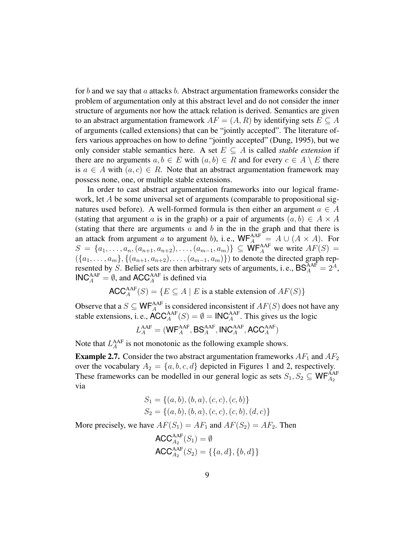for b and we say that a attacks b. Abstract argumentation frameworks consider the problem of argumentation only at this abstract level and do not consider the inner structure of arguments nor how the attack relation is derived. Semantics are given to an abstract argumentation framework  $AF = (A, R)$  by identifying sets  $E \subset A$ of arguments (called extensions) that can be "jointly accepted". The literature offers various approaches on how to define "jointly accepted" (Dung, 1995), but we only consider stable semantics here. A set  $E \subseteq A$  is called *stable extension* if there are no arguments  $a, b \in E$  with  $(a, b) \in R$  and for every  $c \in A \setminus E$  there is  $a \in A$  with  $(a, c) \in R$ . Note that an abstract argumentation framework may possess none, one, or multiple stable extensions.

In order to cast abstract argumentation frameworks into our logical framework, let A be some universal set of arguments (comparable to propositional signatures used before). A well-formed formula is then either an argument  $a \in A$ (stating that argument a is in the graph) or a pair of arguments  $(a, b) \in A \times A$ (stating that there are arguments  $a$  and  $b$  in the in the graph and that there is an attack from argument a to argument b), i.e.,  $WF_A^{AAF} = A \cup (A \times A)$ . For  $S = \{a_1, \ldots, a_n, (a_{n+1}, a_{n+2}), \ldots, (a_{m-1}, a_m)\}\subseteq \mathsf{WF}_{A}^{AAF}$  we write  $AF(S) =$  $({a_1, \ldots, a_m}, {a_{m+1}, a_{n+2}), \ldots, (a_{m-1}, a_m)}$  to denote the directed graph represented by S. Belief sets are then arbitrary sets of arguments, i.e.,  $BS_A^{AAF} = 2^A$ , **, and**  $**ACC<sub>A</sub><sup>AAF</sup>**$  **is defined via** 

$$
\mathsf{ACC}_A^{\mathsf{AAF}}(S) = \{ E \subseteq A \mid E \text{ is a stable extension of } AF(S) \}
$$

Observe that a  $S \subseteq \mathsf{WF}_{A}^{\mathsf{AAF}}$  is considered inconsistent if  $AF(S)$  does not have any stable extensions, i. e.,  $\text{ACC}_{A}^{\text{AAF}}(S) = \emptyset = \text{INC}_{A}^{\text{AAF}}$ . This gives us the logic

$$
L_{A}^{\text{AAF}} = (\text{WF}_{A}^{\text{AAF}}, \text{BS}_{A}^{\text{AAF}}, \text{INC}_{A}^{\text{AAF}}, \text{ACC}_{A}^{\text{AAF}})
$$

Note that  $L_A^{\text{AAF}}$  is not monotonic as the following example shows.

**Example 2.7.** Consider the two abstract argumentation frameworks  $AF_1$  and  $AF_2$ over the vocabulary  $A_2 = \{a, b, c, d\}$  depicted in Figures 1 and 2, respectively. These frameworks can be modelled in our general logic as sets  $S_1, S_2 \subseteq \mathsf{WF}_{A_2}^{\mathsf{AAF}}$ via

$$
S_1 = \{(a, b), (b, a), (c, c), (c, b)\}
$$
  

$$
S_2 = \{(a, b), (b, a), (c, c), (c, b), (d, c)\}
$$

More precisely, we have  $AF(S_1) = AF_1$  and  $AF(S_2) = AF_2$ . Then

$$
ACC_{A_2}^{AAF}(S_1) = \emptyset
$$
  
ACC<sub>A\_2</sub><sup>AAF</sup>(S<sub>2</sub>) = {{a,d}, {b,d}}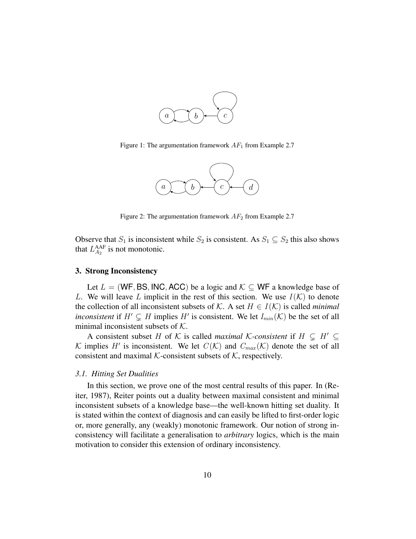

Figure 1: The argumentation framework  $AF_1$  from Example 2.7



Figure 2: The argumentation framework  $AF_2$  from Example 2.7

Observe that  $S_1$  is inconsistent while  $S_2$  is consistent. As  $S_1 \subseteq S_2$  this also shows that  $L_{A_2}^{\text{AAF}}$  is not monotonic.

#### 3. Strong Inconsistency

Let  $L = (WF, BS, INC, ACC)$  be a logic and  $K \subseteq WF$  a knowledge base of L. We will leave L implicit in the rest of this section. We use  $I(K)$  to denote the collection of all inconsistent subsets of K. A set  $H \in I(\mathcal{K})$  is called *minimal inconsistent* if  $H' \subsetneq H$  implies  $H'$  is consistent. We let  $I_{min}(\mathcal{K})$  be the set of all minimal inconsistent subsets of  $K$ .

A consistent subset H of K is called *maximal* K-consistent if  $H \subseteq H' \subseteq$ K implies H' is inconsistent. We let  $C(K)$  and  $C_{max} (K)$  denote the set of all consistent and maximal K-consistent subsets of  $K$ , respectively.

## *3.1. Hitting Set Dualities*

In this section, we prove one of the most central results of this paper. In (Reiter, 1987), Reiter points out a duality between maximal consistent and minimal inconsistent subsets of a knowledge base—the well-known hitting set duality. It is stated within the context of diagnosis and can easily be lifted to first-order logic or, more generally, any (weakly) monotonic framework. Our notion of strong inconsistency will facilitate a generalisation to *arbitrary* logics, which is the main motivation to consider this extension of ordinary inconsistency.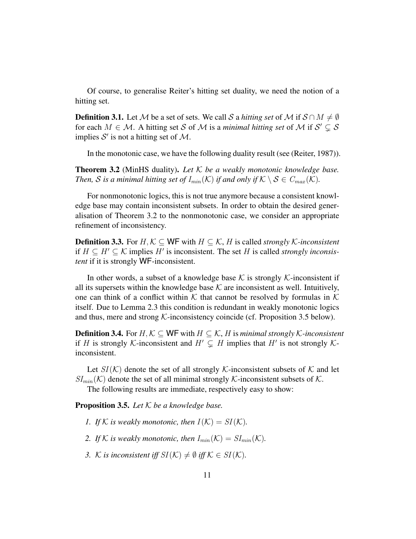Of course, to generalise Reiter's hitting set duality, we need the notion of a hitting set.

**Definition 3.1.** Let M be a set of sets. We call S a *hitting set* of M if  $S \cap M \neq \emptyset$ for each  $M \in \mathcal{M}$ . A hitting set S of M is a *minimal hitting set* of M if  $\mathcal{S}' \subsetneq \mathcal{S}$ implies  $S'$  is not a hitting set of  $M$ .

In the monotonic case, we have the following duality result (see (Reiter, 1987)).

Theorem 3.2 (MinHS duality). *Let* K *be a weakly monotonic knowledge base. Then,* S is a minimal hitting set of  $I_{min}(\mathcal{K})$  if and only if  $\mathcal{K} \setminus \mathcal{S} \in C_{max}(\mathcal{K})$ .

For nonmonotonic logics, this is not true anymore because a consistent knowledge base may contain inconsistent subsets. In order to obtain the desired generalisation of Theorem 3.2 to the nonmonotonic case, we consider an appropriate refinement of inconsistency.

**Definition 3.3.** For  $H, K \subseteq \mathsf{WF}$  with  $H \subseteq K$ ,  $H$  is called *strongly*  $K$ -inconsistent if  $H ⊆ H' ⊆ K$  implies  $H'$  is inconsistent. The set  $H$  is called *strongly inconsistent* if it is strongly WF-inconsistent.

In other words, a subset of a knowledge base  $K$  is strongly  $K$ -inconsistent if all its supersets within the knowledge base  $K$  are inconsistent as well. Intuitively, one can think of a conflict within K that cannot be resolved by formulas in K itself. Due to Lemma 2.3 this condition is redundant in weakly monotonic logics and thus, mere and strong  $K$ -inconsistency coincide (cf. Proposition 3.5 below).

**Definition 3.4.** For  $H, K$  ⊂ WF with  $H$  ⊂  $K$ ,  $H$  is *minimal strongly*  $K$ -inconsistent if H is strongly K-inconsistent and  $H' \subsetneq H$  implies that H' is not strongly Kinconsistent.

Let  $SI(K)$  denote the set of all strongly K-inconsistent subsets of K and let  $SI_{min}(\mathcal{K})$  denote the set of all minimal strongly  $\mathcal{K}$ -inconsistent subsets of  $\mathcal{K}$ .

The following results are immediate, respectively easy to show:

Proposition 3.5. *Let* K *be a knowledge base.*

- *1.* If K is weakly monotonic, then  $I(K) = SI(K)$ .
- 2. If K is weakly monotonic, then  $I_{min}(\mathcal{K}) = SI_{min}(\mathcal{K})$ .
- *3.* K is inconsistent iff  $SI(K) \neq \emptyset$  iff  $K \in SI(K)$ .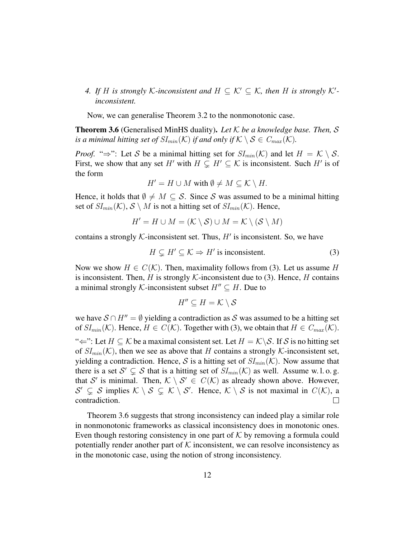*4.* If H is strongly K-inconsistent and  $H \subseteq K' \subseteq K$ , then H is strongly K'*inconsistent.*

Now, we can generalise Theorem 3.2 to the nonmonotonic case.

Theorem 3.6 (Generalised MinHS duality). *Let* K *be a knowledge base. Then,* S *is a minimal hitting set of*  $SI_{min}(\mathcal{K})$  *if and only if*  $\mathcal{K} \setminus \mathcal{S} \in C_{max}(\mathcal{K})$ *.* 

*Proof.* " $\Rightarrow$ ": Let S be a minimal hitting set for  $SI_{min}(\mathcal{K})$  and let  $H = \mathcal{K} \setminus \mathcal{S}$ . First, we show that any set H' with  $H \subsetneq H' \subseteq K$  is inconsistent. Such H' is of the form

$$
H' = H \cup M \text{ with } \emptyset \neq M \subseteq \mathcal{K} \setminus H.
$$

Hence, it holds that  $\emptyset \neq M \subseteq S$ . Since S was assumed to be a minimal hitting set of  $SI_{min}(\mathcal{K}), \mathcal{S} \setminus M$  is not a hitting set of  $SI_{min}(\mathcal{K})$ . Hence,

$$
H' = H \cup M = (\mathcal{K} \setminus \mathcal{S}) \cup M = \mathcal{K} \setminus (\mathcal{S} \setminus M)
$$

contains a strongly  $K$ -inconsistent set. Thus,  $H'$  is inconsistent. So, we have

$$
H \subsetneq H' \subseteq \mathcal{K} \Rightarrow H'
$$
 is inconsistent. (3)

Now we show  $H \in C(\mathcal{K})$ . Then, maximality follows from (3). Let us assume H is inconsistent. Then, H is strongly K-inconsistent due to (3). Hence, H contains a minimal strongly K-inconsistent subset  $H'' \subseteq H$ . Due to

$$
H'' \subseteq H = \mathcal{K} \setminus \mathcal{S}
$$

we have  $S \cap H'' = \emptyset$  yielding a contradiction as S was assumed to be a hitting set of  $SI_{min}(\mathcal{K})$ . Hence,  $H \in C(\mathcal{K})$ . Together with (3), we obtain that  $H \in C_{max}(\mathcal{K})$ . " $\Leftarrow$ ": Let  $H \subseteq \mathcal{K}$  be a maximal consistent set. Let  $H = \mathcal{K} \setminus \mathcal{S}$ . If S is no hitting set of  $SI_{min}(\mathcal{K})$ , then we see as above that H contains a strongly  $\mathcal{K}$ -inconsistent set, yielding a contradiction. Hence, S is a hitting set of  $SI_{min}(\mathcal{K})$ . Now assume that there is a set  $S' \subsetneq S$  that is a hitting set of  $SI_{min}(\mathcal{K})$  as well. Assume w.l.o.g. that S' is minimal. Then,  $K \setminus S' \in C(K)$  as already shown above. However,  $S' \subsetneq S$  implies  $K \setminus S \subsetneq K \setminus S'$ . Hence,  $K \setminus S$  is not maximal in  $C(K)$ , a contradiction.  $\Box$ 

Theorem 3.6 suggests that strong inconsistency can indeed play a similar role in nonmonotonic frameworks as classical inconsistency does in monotonic ones. Even though restoring consistency in one part of  $K$  by removing a formula could potentially render another part of  $K$  inconsistent, we can resolve inconsistency as in the monotonic case, using the notion of strong inconsistency.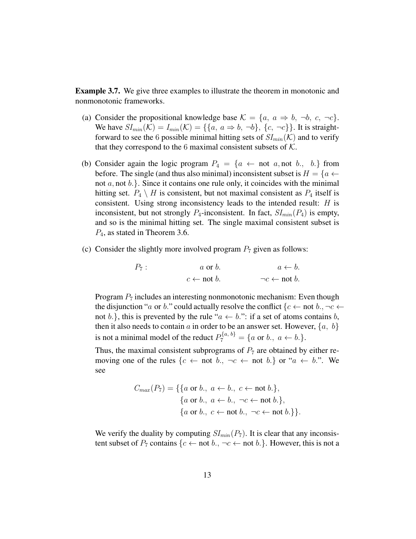Example 3.7. We give three examples to illustrate the theorem in monotonic and nonmonotonic frameworks.

- (a) Consider the propositional knowledge base  $K = \{a, a \Rightarrow b, \neg b, c, \neg c\}.$ We have  $SI_{min}(\mathcal{K}) = I_{min}(\mathcal{K}) = \{\{a, a \Rightarrow b, \neg b\}, \{c, \neg c\}\}\$ . It is straightforward to see the 6 possible minimal hitting sets of  $SI_{min}(\mathcal{K})$  and to verify that they correspond to the 6 maximal consistent subsets of  $K$ .
- (b) Consider again the logic program  $P_4 = \{a \leftarrow \text{not } a, \text{not } b, \, b.\}$  from before. The single (and thus also minimal) inconsistent subset is  $H = \{a \leftarrow$ not  $a$ , not  $b$ . Since it contains one rule only, it coincides with the minimal hitting set.  $P_4 \setminus H$  is consistent, but not maximal consistent as  $P_4$  itself is consistent. Using strong inconsistency leads to the intended result: H is inconsistent, but not strongly  $P_4$ -inconsistent. In fact,  $SI_{min}(P_4)$  is empty, and so is the minimal hitting set. The single maximal consistent subset is  $P_4$ , as stated in Theorem 3.6.
- (c) Consider the slightly more involved program  $P_7$  given as follows:

$$
P_7: a \text{ or } b. \qquad a \leftarrow b.
$$
  

$$
c \leftarrow \text{not } b. \qquad \neg c \leftarrow \text{not } b.
$$

Program  $P_7$  includes an interesting nonmonotonic mechanism: Even though the disjunction "a or b." could actually resolve the conflict  $\{c \leftarrow \text{not } b, \neg c \leftarrow \text{not } c\}$ not b.}, this is prevented by the rule " $a \leftarrow b$ ": if a set of atoms contains b, then it also needs to contain a in order to be an answer set. However,  $\{a, b\}$ is not a minimal model of the reduct  $P_7^{\{a, b\}} = \{a \text{ or } b., a \leftarrow b.\}.$ 

Thus, the maximal consistent subprograms of  $P<sub>7</sub>$  are obtained by either removing one of the rules  $\{c \leftarrow \text{not } b, \neg c \leftarrow \text{not } b.\}$  or " $a \leftarrow b$ .". We see

$$
C_{max}(P_7) = \{ \{a \text{ or } b., a \leftarrow b., c \leftarrow \text{not } b. \},\
$$
  

$$
\{a \text{ or } b., a \leftarrow b., \neg c \leftarrow \text{not } b. \},\
$$
  

$$
\{a \text{ or } b., c \leftarrow \text{not } b., \neg c \leftarrow \text{not } b. \} \}.
$$

We verify the duality by computing  $SI_{min}(P_7)$ . It is clear that any inconsistent subset of  $P_7$  contains  $\{c \leftarrow \text{not } b., \neg c \leftarrow \text{not } b.\}$ . However, this is not a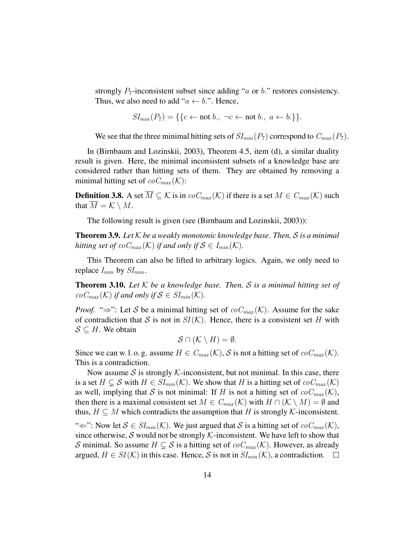strongly  $P_7$ -inconsistent subset since adding "a or b." restores consistency. Thus, we also need to add " $a \leftarrow b$ .". Hence,

$$
SI_{min}(P_7) = \{ \{c \leftarrow not b., \neg c \leftarrow not b., a \leftarrow b. \} \}.
$$

We see that the three minimal hitting sets of  $SI_{min}(P_7)$  correspond to  $C_{max}(P_7)$ .

In (Birnbaum and Lozinskii, 2003), Theorem 4.5, item (d), a similar duality result is given. Here, the minimal inconsistent subsets of a knowledge base are considered rather than hitting sets of them. They are obtained by removing a minimal hitting set of  $coC_{max}(\mathcal{K})$ :

**Definition 3.8.** A set  $\overline{M} \subseteq \mathcal{K}$  is in  $coC_{max}(\mathcal{K})$  if there is a set  $M \in C_{max}(\mathcal{K})$  such that  $M = \mathcal{K} \setminus M$ .

The following result is given (see (Birnbaum and Lozinskii, 2003)):

Theorem 3.9. *Let* K *be a weakly monotonic knowledge base. Then,* S *is a minimal hitting set of*  $coC_{max}(\mathcal{K})$  *if and only if*  $\mathcal{S} \in I_{min}(\mathcal{K})$ *.* 

This Theorem can also be lifted to arbitrary logics. Again, we only need to replace  $I_{min}$  by  $SI_{min}$ .

Theorem 3.10. *Let* K *be a knowledge base. Then,* S *is a minimal hitting set of*  $coC_{max}(\mathcal{K})$  *if and only if*  $\mathcal{S} \in SI_{min}(\mathcal{K})$ *.* 

*Proof.* "⇒": Let S be a minimal hitting set of  $coC_{max}(\mathcal{K})$ . Assume for the sake of contradiction that S is not in  $SI(\mathcal{K})$ . Hence, there is a consistent set H with  $S \subseteq H$ . We obtain

$$
\mathcal{S}\cap(\mathcal{K}\setminus H)=\emptyset.
$$

Since we can w.l.o.g. assume  $H \in C_{max}(\mathcal{K})$ , S is not a hitting set of  $coC_{max}(\mathcal{K})$ . This is a contradiction.

Now assume S is strongly K-inconsistent, but not minimal. In this case, there is a set  $H \subseteq S$  with  $H \in SI_{min}(\mathcal{K})$ . We show that H is a hitting set of  $coC_{max}(\mathcal{K})$ as well, implying that S is not minimal: If H is not a hitting set of  $coC_{max}(\mathcal{K})$ , then there is a maximal consistent set  $M \in C_{max}(\mathcal{K})$  with  $H \cap (\mathcal{K} \setminus M) = \emptyset$  and thus,  $H \subseteq M$  which contradicts the assumption that H is strongly K-inconsistent.

" $\Leftarrow$ ": Now let  $S \in SI_{min}(\mathcal{K})$ . We just argued that S is a hitting set of  $coC_{max}(\mathcal{K})$ , since otherwise, S would not be strongly  $K$ -inconsistent. We have left to show that S minimal. So assume  $H \subsetneq S$  is a hitting set of  $coC_{max}(\mathcal{K})$ . However, as already argued,  $H \in SI(\mathcal{K})$  in this case. Hence, S is not in  $SI_{min}(\mathcal{K})$ , a contradiction.  $\Box$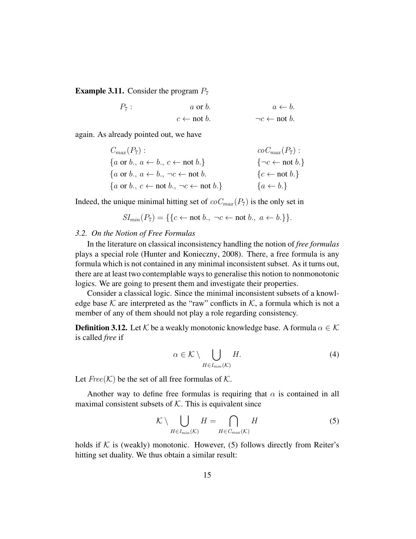**Example 3.11.** Consider the program  $P_7$ 

 $P_7$ :  $a \text{ or } b.$   $a \leftarrow b.$  $c \leftarrow \text{not } b.$   $\neg c \leftarrow \text{not } b.$ 

again. As already pointed out, we have

$$
C_{max}(P_7): \ncoc_{max}(P_7):
$$
\n
$$
\{a \text{ or } b., a \leftarrow b., c \leftarrow \text{not } b.\}
$$
\n
$$
\{a \text{ or } b., a \leftarrow b., \neg c \leftarrow \text{not } b.
$$
\n
$$
\{a \text{ or } b., c \leftarrow \text{not } b., \neg c \leftarrow \text{not } b.\}
$$
\n
$$
\{a \leftarrow b.\}
$$
\n
$$
\{a \leftarrow b.\}
$$

Indeed, the unique minimal hitting set of  $coC_{max}(P_7)$  is the only set in

$$
SI_{min}(P_7) = \{ \{c \leftarrow not b., \neg c \leftarrow not b., a \leftarrow b. \} \}.
$$

## *3.2. On the Notion of Free Formulas*

In the literature on classical inconsistency handling the notion of *free formulas* plays a special role (Hunter and Konieczny, 2008). There, a free formula is any formula which is not contained in any minimal inconsistent subset. As it turns out, there are at least two contemplable ways to generalise this notion to nonmonotonic logics. We are going to present them and investigate their properties.

Consider a classical logic. Since the minimal inconsistent subsets of a knowledge base  $K$  are interpreted as the "raw" conflicts in  $K$ , a formula which is not a member of any of them should not play a role regarding consistency.

**Definition 3.12.** Let K be a weakly monotonic knowledge base. A formula  $\alpha \in \mathcal{K}$ is called *free* if

$$
\alpha \in \mathcal{K} \setminus \bigcup_{H \in I_{min}(\mathcal{K})} H. \tag{4}
$$

Let  $Free(K)$  be the set of all free formulas of K.

Another way to define free formulas is requiring that  $\alpha$  is contained in all maximal consistent subsets of  $K$ . This is equivalent since

$$
\mathcal{K} \setminus \bigcup_{H \in I_{min}(\mathcal{K})} H = \bigcap_{H \in C_{max}(\mathcal{K})} H
$$
 (5)

holds if  $K$  is (weakly) monotonic. However, (5) follows directly from Reiter's hitting set duality. We thus obtain a similar result: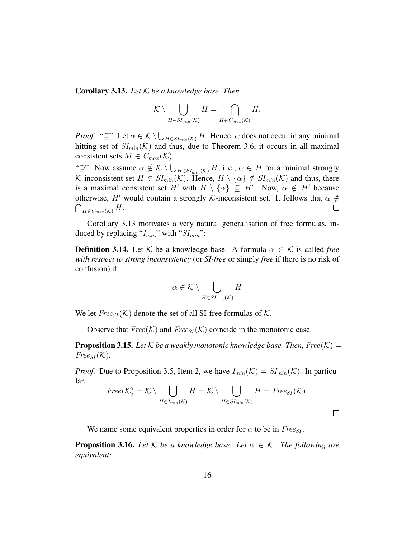Corollary 3.13. *Let* K *be a knowledge base. Then*

$$
\mathcal{K} \setminus \bigcup_{H \in SI_{min}(\mathcal{K})} H = \bigcap_{H \in C_{max}(\mathcal{K})} H.
$$

*Proof.* "⊆": Let  $\alpha \in \mathcal{K} \setminus \bigcup_{H \in SI_{min}(\mathcal{K})} H$ . Hence,  $\alpha$  does not occur in any minimal hitting set of  $SI_{min}(\mathcal{K})$  and thus, due to Theorem 3.6, it occurs in all maximal consistent sets  $M \in C_{max}(\mathcal{K})$ .

" $\supseteq$ ": Now assume  $\alpha \notin \mathcal{K} \setminus \bigcup_{H \in SI_{min}(\mathcal{K})} H$ , i.e.,  $\alpha \in H$  for a minimal strongly K-inconsistent set  $H \in SI_{min}(\mathcal{K})$ . Hence,  $H \setminus {\alpha} \notin SI_{min}(\mathcal{K})$  and thus, there is a maximal consistent set H' with  $H \setminus \{\alpha\} \subseteq H'$ . Now,  $\alpha \notin H'$  because otherwise, H' would contain a strongly K-inconsistent set. It follows that  $\alpha \notin$  $\bigcap_{H\in C_{max}({\cal K})}H.$  $\Box$ 

Corollary 3.13 motivates a very natural generalisation of free formulas, induced by replacing " $I_{min}$ " with " $SI_{min}$ ":

**Definition 3.14.** Let K be a knowledge base. A formula  $\alpha \in \mathcal{K}$  is called *free with respect to strong inconsistency* (or *SI-free* or simply *free* if there is no risk of confusion) if

$$
\alpha \in \mathcal{K} \setminus \bigcup_{H \in SI_{min}(\mathcal{K})} H
$$

We let  $Free_{SI}(\mathcal{K})$  denote the set of all SI-free formulas of  $\mathcal{K}$ .

Observe that  $Free(K)$  and  $Free_{SI}(\mathcal{K})$  coincide in the monotonic case.

**Proposition 3.15.** Let  $K$  be a weakly monotonic knowledge base. Then, Free( $K$ ) =  $Free_{SI}(\mathcal{K}).$ 

*Proof.* Due to Proposition 3.5, Item 2, we have  $I_{min}(\mathcal{K}) = SI_{min}(\mathcal{K})$ . In particular,

$$
Free(K) = K \setminus \bigcup_{H \in I_{min}(K)} H = K \setminus \bigcup_{H \in SI_{min}(K)} H = Free_{SI}(K).
$$

 $\Box$ 

We name some equivalent properties in order for  $\alpha$  to be in  $Free_{SI}$ .

**Proposition 3.16.** Let  $K$  be a knowledge base. Let  $\alpha \in K$ . The following are *equivalent:*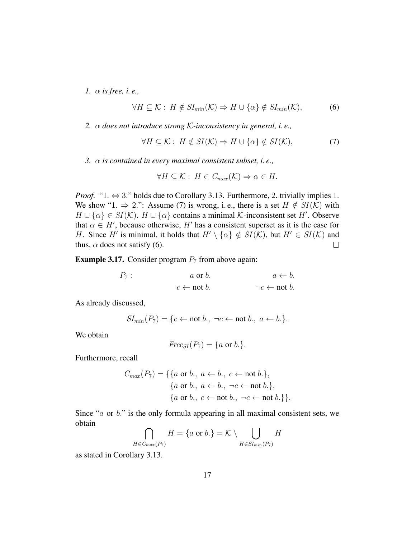*1.* α *is free, i. e.,*

$$
\forall H \subseteq \mathcal{K} : H \notin SI_{min}(\mathcal{K}) \Rightarrow H \cup \{\alpha\} \notin SI_{min}(\mathcal{K}), \tag{6}
$$

*2.* α *does not introduce strong* K*-inconsistency in general, i. e.,*

$$
\forall H \subseteq \mathcal{K} : H \notin SI(\mathcal{K}) \Rightarrow H \cup \{\alpha\} \notin SI(\mathcal{K}),\tag{7}
$$

*3.* α *is contained in every maximal consistent subset, i. e.,*

$$
\forall H \subseteq \mathcal{K} : H \in C_{max}(\mathcal{K}) \Rightarrow \alpha \in H.
$$

*Proof.* "1.  $\Leftrightarrow$  3." holds due to Corollary 3.13. Furthermore, 2. trivially implies 1. We show "1.  $\Rightarrow$  2.": Assume (7) is wrong, i.e., there is a set  $H \notin SI(\mathcal{K})$  with  $H \cup \{\alpha\} \in SI(\mathcal{K})$ .  $H \cup \{\alpha\}$  contains a minimal K-inconsistent set H'. Observe that  $\alpha \in H'$ , because otherwise, H' has a consistent superset as it is the case for H. Since H' is minimal, it holds that  $H' \setminus {\alpha} \notin SI(\mathcal{K})$ , but  $H' \in SI(\mathcal{K})$  and thus,  $\alpha$  does not satisfy (6).  $\Box$ 

**Example 3.17.** Consider program  $P_7$  from above again:

$$
P_7: a \text{ or } b. \qquad a \leftarrow b.
$$
  

$$
c \leftarrow \text{not } b. \qquad \qquad \neg c \leftarrow \text{not } b.
$$

As already discussed,

$$
SI_{min}(P_7) = \{c \leftarrow not b., \neg c \leftarrow not b., a \leftarrow b.\}.
$$

We obtain

$$
Free_{SI}(P_7)=\{a \text{ or } b.\}.
$$

Furthermore, recall

$$
C_{max}(P_7) = \{ \{a \text{ or } b., a \leftarrow b., c \leftarrow \text{not } b. \},
$$
  

$$
\{a \text{ or } b., a \leftarrow b., \neg c \leftarrow \text{not } b. \},
$$
  

$$
\{a \text{ or } b., c \leftarrow \text{not } b., \neg c \leftarrow \text{not } b. \} \}.
$$

Since " $a$  or  $b$ ." is the only formula appearing in all maximal consistent sets, we obtain

$$
\bigcap_{H \in C_{max}(P_7)} H = \{a \text{ or } b.\} = \mathcal{K} \setminus \bigcup_{H \in SI_{min}(P_7)} H
$$

as stated in Corollary 3.13.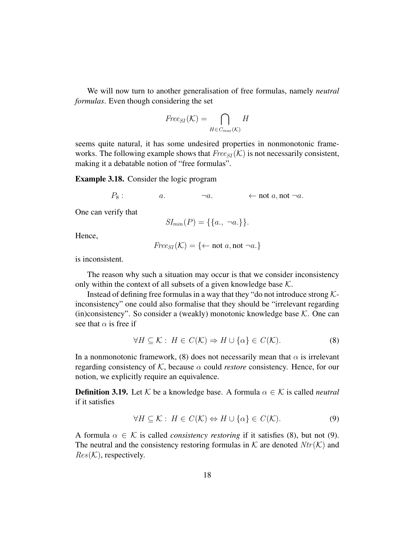We will now turn to another generalisation of free formulas, namely *neutral formulas*. Even though considering the set

$$
\operatorname{\it Free}_{SI}({\cal K}) = \bigcap_{H \in C_{max}({\cal K})} H
$$

seems quite natural, it has some undesired properties in nonmonotonic frameworks. The following example shows that  $Free_{SI}(\mathcal{K})$  is not necessarily consistent, making it a debatable notion of "free formulas".

Example 3.18. Consider the logic program

 $P_8$ :  $a.$   $\neg a.$   $\leftarrow$  not  $a.$  not  $\neg a.$ 

One can verify that

$$
SI_{min}(P) = \{\{a., \neg a.\}\}.
$$

Hence,

$$
Free_{SI}(\mathcal{K}) = \{ \leftarrow not \ a, not \ \neg a \}
$$

is inconsistent.

The reason why such a situation may occur is that we consider inconsistency only within the context of all subsets of a given knowledge base  $K$ .

Instead of defining free formulas in a way that they "do not introduce strong  $K$ inconsistency" one could also formalise that they should be "irrelevant regarding (in)consistency". So consider a (weakly) monotonic knowledge base  $K$ . One can see that  $\alpha$  is free if

$$
\forall H \subseteq \mathcal{K} : H \in C(\mathcal{K}) \Rightarrow H \cup \{\alpha\} \in C(\mathcal{K}).
$$
\n(8)

In a nonmonotonic framework, (8) does not necessarily mean that  $\alpha$  is irrelevant regarding consistency of  $K$ , because  $\alpha$  could *restore* consistency. Hence, for our notion, we explicitly require an equivalence.

**Definition 3.19.** Let K be a knowledge base. A formula  $\alpha \in \mathcal{K}$  is called *neutral* if it satisfies

$$
\forall H \subseteq \mathcal{K} : H \in C(\mathcal{K}) \Leftrightarrow H \cup \{\alpha\} \in C(\mathcal{K}).\tag{9}
$$

A formula  $\alpha \in \mathcal{K}$  is called *consistency restoring* if it satisfies (8), but not (9). The neutral and the consistency restoring formulas in  $K$  are denoted  $Ntr(K)$  and  $Res(K)$ , respectively.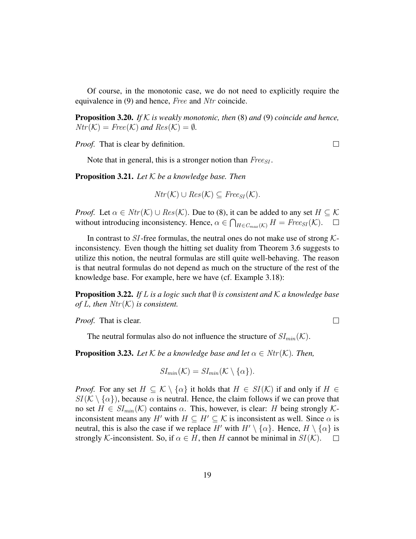Of course, in the monotonic case, we do not need to explicitly require the equivalence in (9) and hence, *Free* and *Ntr* coincide.

Proposition 3.20. *If* K *is weakly monotonic, then* (8) *and* (9) *coincide and hence,*  $Ntr(\mathcal{K}) = Free(\mathcal{K})$  and  $Res(\mathcal{K}) = \emptyset$ .

*Proof.* That is clear by definition.

 $\Box$ 

 $\Box$ 

Note that in general, this is a stronger notion than  $Free_{SI}$ .

Proposition 3.21. *Let* K *be a knowledge base. Then*

 $Ntr(\mathcal{K}) \cup Res(\mathcal{K}) \subseteq Free_{SI}(\mathcal{K}).$ 

*Proof.* Let  $\alpha \in Ntr(\mathcal{K}) \cup Res(\mathcal{K})$ . Due to (8), it can be added to any set  $H \subseteq \mathcal{K}$ without introducing inconsistency. Hence,  $\alpha \in \bigcap_{H \in C_{max}(\mathcal{K})} H = \text{Free}_{SI}(\mathcal{K})$ .  $\Box$ 

In contrast to SI-free formulas, the neutral ones do not make use of strong  $K$ inconsistency. Even though the hitting set duality from Theorem 3.6 suggests to utilize this notion, the neutral formulas are still quite well-behaving. The reason is that neutral formulas do not depend as much on the structure of the rest of the knowledge base. For example, here we have (cf. Example 3.18):

**Proposition 3.22.** *If* L *is a logic such that*  $\emptyset$  *is consistent and*  $K$  *a knowledge base of L, then*  $Ntr(K)$  *is consistent.* 

*Proof.* That is clear.

The neutral formulas also do not influence the structure of  $SI_{min}(\mathcal{K})$ .

**Proposition 3.23.** Let K be a knowledge base and let  $\alpha \in \text{Ntr}(\mathcal{K})$ . Then,

$$
SI_{min}(\mathcal{K})=SI_{min}(\mathcal{K}\setminus{\alpha}).
$$

*Proof.* For any set  $H \subseteq K \setminus {\{\alpha\}}$  it holds that  $H \in SI(K)$  if and only if  $H \in$  $SI(\mathcal{K}\setminus{\{\alpha\}})$ , because  $\alpha$  is neutral. Hence, the claim follows if we can prove that no set  $H \in SI_{min}(\mathcal{K})$  contains  $\alpha$ . This, however, is clear: H being strongly  $\mathcal{K}$ inconsistent means any H' with  $H \subseteq H' \subseteq \mathcal{K}$  is inconsistent as well. Since  $\alpha$  is neutral, this is also the case if we replace H' with  $H' \setminus {\{\alpha\}}$ . Hence,  $H \setminus {\{\alpha\}}$  is strongly K-inconsistent. So, if  $\alpha \in H$ , then H cannot be minimal in  $SI(\mathcal{K})$ .  $\Box$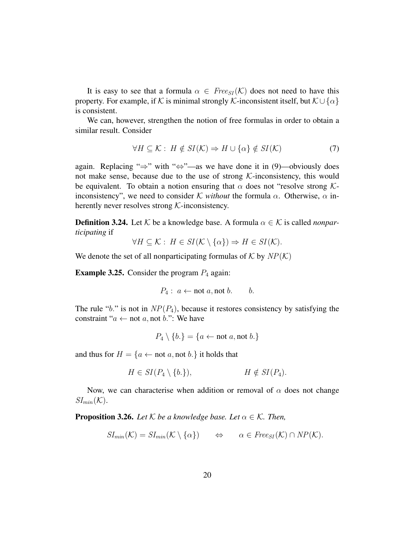It is easy to see that a formula  $\alpha \in \text{Free}_{SI}(\mathcal{K})$  does not need to have this property. For example, if K is minimal strongly K-inconsistent itself, but  $\mathcal{K} \cup \{\alpha\}$ is consistent.

We can, however, strengthen the notion of free formulas in order to obtain a similar result. Consider

$$
\forall H \subseteq \mathcal{K} : H \notin SI(\mathcal{K}) \Rightarrow H \cup \{\alpha\} \notin SI(\mathcal{K})
$$
 (7)

again. Replacing " $\Rightarrow$ " with " $\Leftrightarrow$ "—as we have done it in (9)—obviously does not make sense, because due to the use of strong  $K$ -inconsistency, this would be equivalent. To obtain a notion ensuring that  $\alpha$  does not "resolve strong Kinconsistency", we need to consider K *without* the formula  $\alpha$ . Otherwise,  $\alpha$  inherently never resolves strong  $K$ -inconsistency.

**Definition 3.24.** Let  $K$  be a knowledge base. A formula  $\alpha \in K$  is called *nonparticipating* if

$$
\forall H \subseteq \mathcal{K} : H \in SI(\mathcal{K} \setminus \{\alpha\}) \Rightarrow H \in SI(\mathcal{K}).
$$

We denote the set of all nonparticipating formulas of  $K$  by  $NP(K)$ 

**Example 3.25.** Consider the program  $P_4$  again:

$$
P_4: a \leftarrow \text{not } a, \text{not } b. \qquad b.
$$

The rule "b." is not in  $NP(P_4)$ , because it restores consistency by satisfying the constraint " $a \leftarrow$  not  $a$ , not  $b$ .": We have

$$
P_4 \setminus \{b.\} = \{a \leftarrow \text{not } a, \text{not } b.\}
$$

and thus for  $H = \{a \leftarrow \text{not } a, \text{not } b.\}$  it holds that

$$
H \in SI(P_4 \setminus \{b.\}), \qquad H \notin SI(P_4).
$$

Now, we can characterise when addition or removal of  $\alpha$  does not change  $SI_{min}(\mathcal{K}).$ 

**Proposition 3.26.** *Let*  $K$  *be a knowledge base. Let*  $\alpha \in K$ *. Then,* 

$$
SI_{min}(\mathcal{K}) = SI_{min}(\mathcal{K} \setminus \{\alpha\}) \qquad \Leftrightarrow \qquad \alpha \in \text{Free}_{SI}(\mathcal{K}) \cap \text{NP}(\mathcal{K}).
$$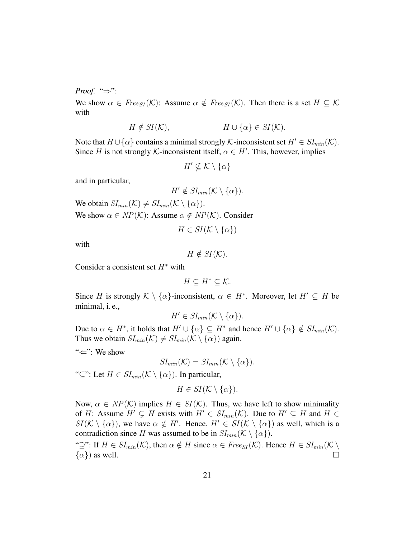*Proof.* "⇒":

We show  $\alpha \in \text{Free}_{SI}(\mathcal{K})$ : Assume  $\alpha \notin \text{Free}_{SI}(\mathcal{K})$ . Then there is a set  $H \subseteq \mathcal{K}$ with

$$
H \notin SI(\mathcal{K}), \qquad H \cup \{\alpha\} \in SI(\mathcal{K}).
$$

Note that  $H \cup \{\alpha\}$  contains a minimal strongly K-inconsistent set  $H' \in SI_{min}(\mathcal{K})$ . Since H is not strongly K-inconsistent itself,  $\alpha \in H'$ . This, however, implies

$$
H' \nsubseteq \mathcal{K} \setminus \{\alpha\}
$$

and in particular,

$$
H' \notin SI_{min}(\mathcal{K} \setminus {\alpha}).
$$

We obtain  $SI_{min}(\mathcal{K}) \neq SI_{min}(\mathcal{K} \setminus {\alpha}).$ We show  $\alpha \in NP(K)$ : Assume  $\alpha \notin NP(K)$ . Consider

$$
H \in SI(\mathcal{K} \setminus \{\alpha\})
$$

with

$$
H \notin SI(\mathcal{K}).
$$

Consider a consistent set  $H^*$  with

$$
H\subseteq H^*\subseteq\mathcal{K}.
$$

Since H is strongly  $\mathcal{K} \setminus \{\alpha\}$ -inconsistent,  $\alpha \in H^*$ . Moreover, let  $H' \subseteq H$  be minimal, i. e.,

$$
H' \in SI_{min}(\mathcal{K} \setminus {\alpha}).
$$

Due to  $\alpha \in H^*$ , it holds that  $H' \cup {\alpha} \subseteq H^*$  and hence  $H' \cup {\alpha} \notin SI_{min}(\mathcal{K})$ . Thus we obtain  $SI_{min}(\mathcal{K}) \neq SI_{min}(\mathcal{K} \setminus {\{\alpha\}})$  again.

"⇐": We show

$$
SI_{min}(\mathcal{K})=SI_{min}(\mathcal{K}\setminus{\alpha}).
$$

" $\subseteq$ ": Let  $H \in SI_{min}(\mathcal{K} \setminus {\{\alpha\}})$ . In particular,

$$
H \in SI(\mathcal{K} \setminus \{\alpha\}).
$$

Now,  $\alpha \in NP(\mathcal{K})$  implies  $H \in SI(\mathcal{K})$ . Thus, we have left to show minimality of H: Assume  $H' \subsetneq H$  exists with  $H' \in SI_{min}(\mathcal{K})$ . Due to  $H' \subseteq H$  and  $H \in$  $SI(\mathcal{K}\setminus {\{\alpha\}})$ , we have  $\alpha \notin H'$ . Hence,  $H' \in SI(\mathcal{K}\setminus {\{\alpha\}})$  as well, which is a contradiction since H was assumed to be in  $SI_{min}(\mathcal{K} \setminus \{\alpha\})$ .

"⊇": If  $H \in SI_{min}(\mathcal{K})$ , then  $\alpha \notin H$  since  $\alpha \in Free_{SI}(\mathcal{K})$ . Hence  $H \in SI_{min}(\mathcal{K} \setminus$  $\{\alpha\}$  as well.  $\Box$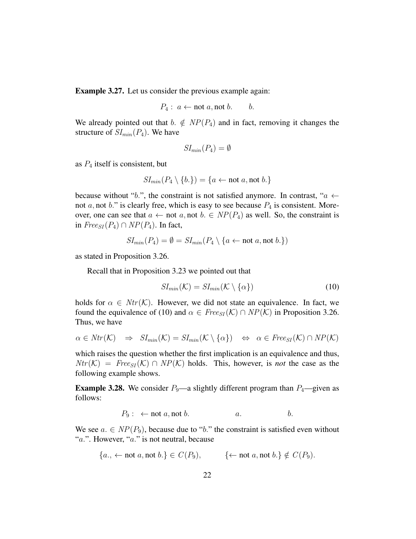Example 3.27. Let us consider the previous example again:

$$
P_4: a \leftarrow \text{not } a, \text{not } b. \qquad b.
$$

We already pointed out that  $b. \notin NP(P_4)$  and in fact, removing it changes the structure of  $SI_{min}(P_4)$ . We have

$$
SI_{min}(P_4) = \emptyset
$$

as  $P_4$  itself is consistent, but

$$
SI_{min}(P_4 \setminus \{b.\}) = \{a \leftarrow \text{not } a, \text{not } b.\}
$$

because without "b.", the constraint is not satisfied anymore. In contrast, " $a \leftarrow$ not  $a$ , not  $b$ ." is clearly free, which is easy to see because  $P_4$  is consistent. Moreover, one can see that  $a \leftarrow \text{not } a$ , not  $b \in NP(P_4)$  as well. So, the constraint is in  $Free_{SI}(P_4) \cap NP(P_4)$ . In fact,

$$
SI_{min}(P_4) = \emptyset = SI_{min}(P_4 \setminus \{a \leftarrow not \ a, not \ b.\})
$$

as stated in Proposition 3.26.

Recall that in Proposition 3.23 we pointed out that

$$
SI_{min}(\mathcal{K}) = SI_{min}(\mathcal{K} \setminus \{\alpha\})
$$
 (10)

holds for  $\alpha \in Ntr(\mathcal{K})$ . However, we did not state an equivalence. In fact, we found the equivalence of (10) and  $\alpha \in \text{Free}_{SI}(\mathcal{K}) \cap \text{NP}(\mathcal{K})$  in Proposition 3.26. Thus, we have

$$
\alpha \in Ntr(\mathcal{K}) \Rightarrow SI_{min}(\mathcal{K}) = SI_{min}(\mathcal{K} \setminus {\alpha}) \Leftrightarrow \alpha \in \text{Free}_{SI}(\mathcal{K}) \cap NP(\mathcal{K})
$$

which raises the question whether the first implication is an equivalence and thus,  $Ntr(K) = Free_{SI}(K) \cap NP(K)$  holds. This, however, is *not* the case as the following example shows.

**Example 3.28.** We consider  $P_9$ —a slightly different program than  $P_4$ —given as follows:

$$
P_9: \leftarrow \text{not } a, \text{not } b. \qquad a. \qquad b.
$$

We see  $a \in NP(P_9)$ , because due to "b." the constraint is satisfied even without "a.". However, "a." is not neutral, because

$$
\{a., \leftarrow \text{not } a, \text{not } b.\} \in C(P_9), \qquad \{\leftarrow \text{not } a, \text{not } b.\} \notin C(P_9).
$$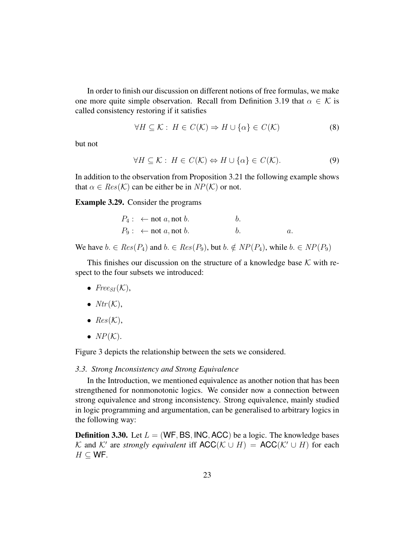In order to finish our discussion on different notions of free formulas, we make one more quite simple observation. Recall from Definition 3.19 that  $\alpha \in \mathcal{K}$  is called consistency restoring if it satisfies

$$
\forall H \subseteq \mathcal{K} : H \in C(\mathcal{K}) \Rightarrow H \cup \{\alpha\} \in C(\mathcal{K})
$$
 (8)

but not

$$
\forall H \subseteq \mathcal{K} : H \in C(\mathcal{K}) \Leftrightarrow H \cup \{\alpha\} \in C(\mathcal{K}).\tag{9}
$$

In addition to the observation from Proposition 3.21 the following example shows that  $\alpha \in Res(K)$  can be either be in  $NP(K)$  or not.

Example 3.29. Consider the programs

| $P_4: \leftarrow \text{not } a, \text{not } b.$ |  |
|-------------------------------------------------|--|
| $P_9: \leftarrow \text{not } a, \text{not } b.$ |  |

We have  $b \in Res(P_4)$  and  $b \in Res(P_9)$ , but  $b \notin NP(P_4)$ , while  $b \in NP(P_9)$ 

This finishes our discussion on the structure of a knowledge base  $K$  with respect to the four subsets we introduced:

- $Free_{SI}(\mathcal{K}),$
- $Ntr(K)$ ,
- $Res(K)$ ,
- $NP(K)$ .

Figure 3 depicts the relationship between the sets we considered.

#### *3.3. Strong Inconsistency and Strong Equivalence*

In the Introduction, we mentioned equivalence as another notion that has been strengthened for nonmonotonic logics. We consider now a connection between strong equivalence and strong inconsistency. Strong equivalence, mainly studied in logic programming and argumentation, can be generalised to arbitrary logics in the following way:

**Definition 3.30.** Let  $L = (WF, BS, INC, ACC)$  be a logic. The knowledge bases K and K' are *strongly equivalent* iff  $\mathsf{ACC}(\mathcal{K} \cup H) = \mathsf{ACC}(\mathcal{K}' \cup H)$  for each  $H \subset$  WF.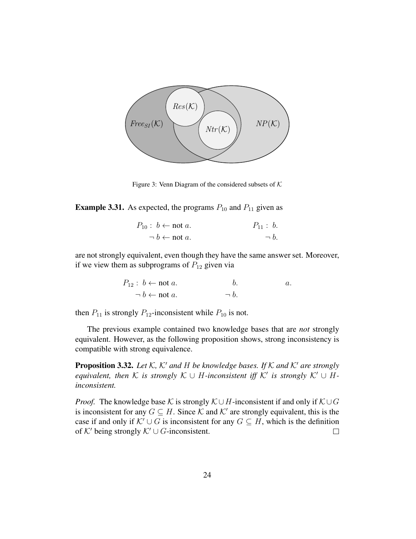

Figure 3: Venn Diagram of the considered subsets of  $K$ 

**Example 3.31.** As expected, the programs  $P_{10}$  and  $P_{11}$  given as

| $P_{10}: b \leftarrow \text{not } a.$ | $P_{11}: b.$ |
|---------------------------------------|--------------|
| $\neg b \leftarrow \text{not } a$ .   | $\neg b$ .   |

are not strongly equivalent, even though they have the same answer set. Moreover, if we view them as subprograms of  $P_{12}$  given via

$$
P_{12}: b \leftarrow \text{not } a. \qquad b. \qquad a.
$$
  

$$
\neg b \leftarrow \text{not } a. \qquad \qquad \neg b.
$$

then  $P_{11}$  is strongly  $P_{12}$ -inconsistent while  $P_{10}$  is not.

The previous example contained two knowledge bases that are *not* strongly equivalent. However, as the following proposition shows, strong inconsistency is compatible with strong equivalence.

**Proposition 3.32.** Let K, K' and H be knowledge bases. If K and K' are strongly *equivalent, then*  $K$  *is strongly*  $K \cup H$ -*inconsistent iff*  $K'$  *is strongly*  $K' \cup H$ *inconsistent.*

*Proof.* The knowledge base K is strongly  $K \cup H$ -inconsistent if and only if  $K \cup G$ is inconsistent for any  $G \subseteq H$ . Since K and K' are strongly equivalent, this is the case if and only if  $K' \cup G$  is inconsistent for any  $G \subseteq H$ , which is the definition of  $K'$  being strongly  $K' \cup G$ -inconsistent.  $\Box$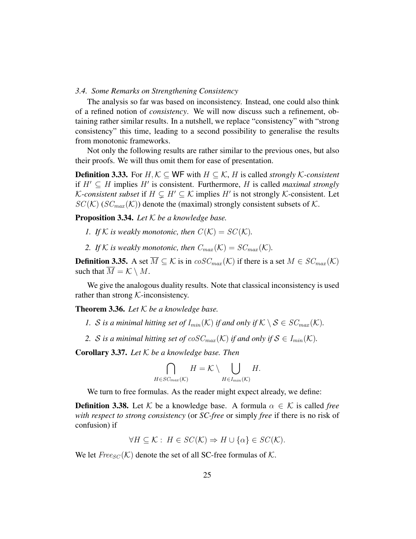#### *3.4. Some Remarks on Strengthening Consistency*

The analysis so far was based on inconsistency. Instead, one could also think of a refined notion of *consistency*. We will now discuss such a refinement, obtaining rather similar results. In a nutshell, we replace "consistency" with "strong consistency" this time, leading to a second possibility to generalise the results from monotonic frameworks.

Not only the following results are rather similar to the previous ones, but also their proofs. We will thus omit them for ease of presentation.

**Definition 3.33.** For  $H, K \subseteq$  WF with  $H \subseteq K$ ,  $H$  is called *strongly*  $K$ -consistent if  $H' \subseteq H$  implies  $H'$  is consistent. Furthermore, H is called *maximal strongly K*-consistent subset if  $H \subsetneq H' \subseteq \mathcal{K}$  implies  $H'$  is not strongly  $\mathcal{K}$ -consistent. Let  $SC(K)$  ( $SC_{max}(K)$ ) denote the (maximal) strongly consistent subsets of K.

Proposition 3.34. *Let* K *be a knowledge base.*

- *1. If*  $K$  *is weakly monotonic, then*  $C(K) = SC(K)$ *.*
- *2. If*  $K$  *is weakly monotonic, then*  $C_{max}(\mathcal{K}) = SC_{max}(\mathcal{K})$ *.*

**Definition 3.35.** A set  $\overline{M} \subseteq \mathcal{K}$  is in  $\cos C_{max}(\mathcal{K})$  if there is a set  $M \in \mathcal{SC}_{max}(\mathcal{K})$ such that  $M = \mathcal{K} \setminus M$ .

We give the analogous duality results. Note that classical inconsistency is used rather than strong  $K$ -inconsistency.

Theorem 3.36. *Let* K *be a knowledge base.*

- *1. S* is a minimal hitting set of  $I_{min}(\mathcal{K})$  if and only if  $\mathcal{K} \setminus \mathcal{S} \in SC_{max}(\mathcal{K})$ .
- 2. S is a minimal hitting set of  $cosC_{max}(\mathcal{K})$  if and only if  $\mathcal{S} \in I_{min}(\mathcal{K})$ .

Corollary 3.37. *Let* K *be a knowledge base. Then*

$$
\bigcap_{H \in SC_{max}(\mathcal{K})} H = \mathcal{K} \setminus \bigcup_{H \in I_{min}(\mathcal{K})} H.
$$

We turn to free formulas. As the reader might expect already, we define:

**Definition 3.38.** Let K be a knowledge base. A formula  $\alpha \in \mathcal{K}$  is called *free with respect to strong consistency* (or *SC-free* or simply *free* if there is no risk of confusion) if

$$
\forall H \subseteq \mathcal{K} : H \in SC(\mathcal{K}) \Rightarrow H \cup \{\alpha\} \in SC(\mathcal{K}).
$$

We let  $Free_{SC}(\mathcal{K})$  denote the set of all SC-free formulas of  $\mathcal{K}$ .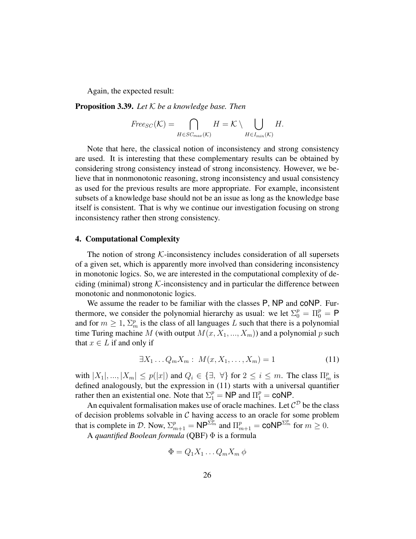Again, the expected result:

Proposition 3.39. *Let* K *be a knowledge base. Then*

$$
Free_{SC}(\mathcal{K}) = \bigcap_{H \in SC_{max}(\mathcal{K})} H = \mathcal{K} \setminus \bigcup_{H \in I_{min}(\mathcal{K})} H.
$$

Note that here, the classical notion of inconsistency and strong consistency are used. It is interesting that these complementary results can be obtained by considering strong consistency instead of strong inconsistency. However, we believe that in nonmonotonic reasoning, strong inconsistency and usual consistency as used for the previous results are more appropriate. For example, inconsistent subsets of a knowledge base should not be an issue as long as the knowledge base itself is consistent. That is why we continue our investigation focusing on strong inconsistency rather then strong consistency.

#### 4. Computational Complexity

The notion of strong  $K$ -inconsistency includes consideration of all supersets of a given set, which is apparently more involved than considering inconsistency in monotonic logics. So, we are interested in the computational complexity of deciding (minimal) strong  $K$ -inconsistency and in particular the difference between monotonic and nonmonotonic logics.

We assume the reader to be familiar with the classes P, NP and coNP. Furthermore, we consider the polynomial hierarchy as usual: we let  $\Sigma_0^p = \Pi_0^p = \mathsf{P}$ and for  $m \geq 1$ ,  $\Sigma_m^p$  is the class of all languages L such that there is a polynomial time Turing machine M (with output  $M(x, X_1, ..., X_m)$ ) and a polynomial p such that  $x \in L$  if and only if

$$
\exists X_1 \dots Q_m X_m : M(x, X_1, \dots, X_m) = 1 \tag{11}
$$

with  $|X_1|, ..., |X_m| \le p(|x|)$  and  $Q_i \in \{\exists, \forall\}$  for  $2 \le i \le m$ . The class  $\Pi_m^p$  is defined analogously, but the expression in (11) starts with a universal quantifier rather then an existential one. Note that  $\Sigma_1^p = \textsf{NP}$  and  $\Pi_1^p = \textsf{coNP}$ .

An equivalent formalisation makes use of oracle machines. Let  $C^D$  be the class of decision problems solvable in  $C$  having access to an oracle for some problem that is complete in D. Now,  $\Sigma_{m+1}^p = \mathsf{NP}^{\Sigma_m^p}$  and  $\Pi_{m+1}^p = \mathsf{coNP}^{\Sigma_m^p}$  for  $m \geq 0$ .

A *quantified Boolean formula* (QBF) Φ is a formula

$$
\Phi=Q_1X_1\ldots Q_mX_m\,\phi
$$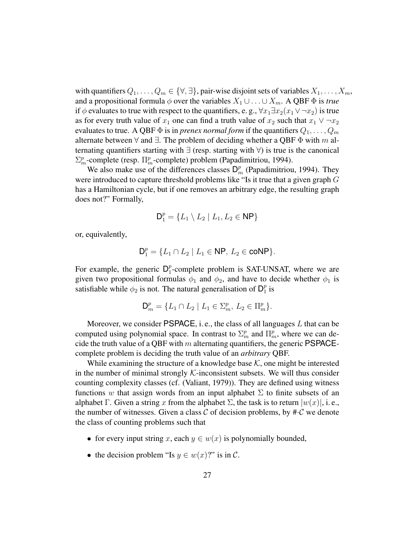with quantifiers  $Q_1, \ldots, Q_m \in \{\forall, \exists\}$ , pair-wise disjoint sets of variables  $X_1, \ldots, X_m$ , and a propositional formula  $\phi$  over the variables  $X_1 \cup \ldots \cup X_m$ . A QBF  $\Phi$  is *true* if  $\phi$  evaluates to true with respect to the quantifiers, e.g.,  $\forall x_1 \exists x_2(x_1 \vee \neg x_2)$  is true as for every truth value of  $x_1$  one can find a truth value of  $x_2$  such that  $x_1 \vee \neg x_2$ evaluates to true. A QBF  $\Phi$  is in *prenex normal form* if the quantifiers  $Q_1, \ldots, Q_m$ alternate between  $\forall$  and  $\exists$ . The problem of deciding whether a QBF  $\Phi$  with m alternating quantifiers starting with ∃ (resp. starting with ∀) is true is the canonical  $\Sigma_m^p$ -complete (resp.  $\Pi_m^p$ -complete) problem (Papadimitriou, 1994).

We also make use of the differences classes  $D_m^p$  (Papadimitriou, 1994). They were introduced to capture threshold problems like "Is it true that a given graph G has a Hamiltonian cycle, but if one removes an arbitrary edge, the resulting graph does not?" Formally,

$$
\textsf{D}_1^p=\{L_1\setminus L_2\mid L_1,L_2\in\textsf{NP}\}
$$

or, equivalently,

$$
D_1^p = \{ L_1 \cap L_2 \mid L_1 \in \mathsf{NP}, \, L_2 \in \mathsf{coNP} \}.
$$

For example, the generic  $D_1^p$  $_{1}^{p}$ -complete problem is SAT-UNSAT, where we are given two propositional formulas  $\phi_1$  and  $\phi_2$ , and have to decide whether  $\phi_1$  is satisfiable while  $\phi_2$  is not. The natural generalisation of  $\mathsf{D}_1^p$  $\frac{p}{1}$  is

$$
\mathsf{D}_{m}^{p} = \{ L_{1} \cap L_{2} \mid L_{1} \in \Sigma_{m}^{p}, L_{2} \in \Pi_{m}^{p} \}.
$$

Moreover, we consider PSPACE, i.e., the class of all languages  $L$  that can be computed using polynomial space. In contrast to  $\Sigma_m^p$  and  $\Pi_m^p$ , where we can decide the truth value of a QBF with m alternating quantifiers, the generic PSPACEcomplete problem is deciding the truth value of an *arbitrary* QBF.

While examining the structure of a knowledge base  $K$ , one might be interested in the number of minimal strongly  $K$ -inconsistent subsets. We will thus consider counting complexity classes (cf. (Valiant, 1979)). They are defined using witness functions w that assign words from an input alphabet  $\Sigma$  to finite subsets of an alphabet Γ. Given a string x from the alphabet Σ, the task is to return  $|w(x)|$ , i.e., the number of witnesses. Given a class  $C$  of decision problems, by  $\#C$  we denote the class of counting problems such that

- for every input string x, each  $y \in w(x)$  is polynomially bounded,
- the decision problem "Is  $y \in w(x)$ ?" is in C.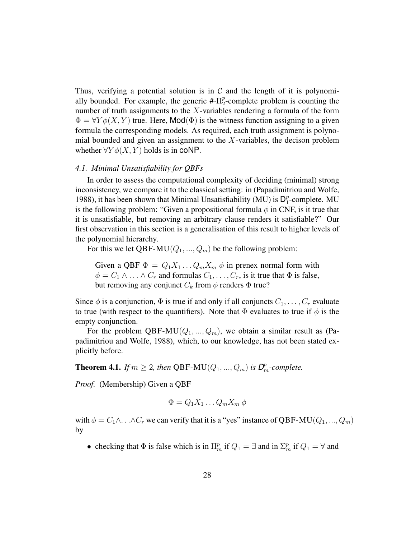Thus, verifying a potential solution is in  $\mathcal C$  and the length of it is polynomially bounded. For example, the generic  $\text{#} \cdot \Pi_2^p$  $2^p$ -complete problem is counting the number of truth assignments to the  $X$ -variables rendering a formula of the form  $\Phi = \forall Y \phi(X, Y)$  true. Here, Mod( $\Phi$ ) is the witness function assigning to a given formula the corresponding models. As required, each truth assignment is polynomial bounded and given an assignment to the  $X$ -variables, the decison problem whether  $\forall Y \phi(X, Y)$  holds is in CONP.

## *4.1. Minimal Unsatisfiability for QBFs*

In order to assess the computational complexity of deciding (minimal) strong inconsistency, we compare it to the classical setting: in (Papadimitriou and Wolfe, 1988), it has been shown that Minimal Unsatisfiability (MU) is  $D_1^p$  $_1^p$ -complete. MU is the following problem: "Given a propositional formula  $\phi$  in CNF, is it true that it is unsatisfiable, but removing an arbitrary clause renders it satisfiable?" Our first observation in this section is a generalisation of this result to higher levels of the polynomial hierarchy.

For this we let QBF-MU( $Q_1, ..., Q_m$ ) be the following problem:

Given a QBF  $\Phi = Q_1 X_1 \dots Q_m X_m$   $\phi$  in prenex normal form with  $\phi = C_1 \wedge \ldots \wedge C_r$  and formulas  $C_1, \ldots, C_r$ , is it true that  $\Phi$  is false, but removing any conjunct  $C_k$  from  $\phi$  renders  $\Phi$  true?

Since  $\phi$  is a conjunction,  $\Phi$  is true if and only if all conjuncts  $C_1, \ldots, C_r$  evaluate to true (with respect to the quantifiers). Note that  $\Phi$  evaluates to true if  $\phi$  is the empty conjunction.

For the problem QBF-MU( $Q_1, ..., Q_m$ ), we obtain a similar result as (Papadimitriou and Wolfe, 1988), which, to our knowledge, has not been stated explicitly before.

**Theorem 4.1.** *If*  $m \geq 2$ , *then* QBF-MU $(Q_1, ..., Q_m)$  *is*  $D_m^p$ -complete.

*Proof.* (Membership) Given a QBF

$$
\Phi = Q_1 X_1 \dots Q_m X_m \phi
$$

with  $\phi = C_1 \wedge \ldots \wedge C_r$  we can verify that it is a "yes" instance of QBF-MU( $Q_1, ..., Q_m$ ) by

• checking that  $\Phi$  is false which is in  $\Pi_m^p$  if  $Q_1 = \exists$  and in  $\Sigma_m^p$  if  $Q_1 = \forall$  and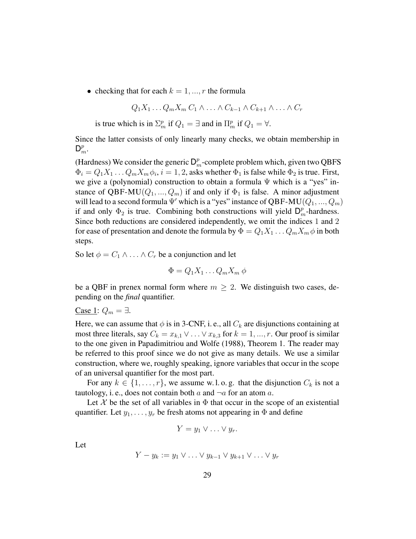• checking that for each  $k = 1, ..., r$  the formula

$$
Q_1X_1 \ldots Q_mX_m C_1 \wedge \ldots \wedge C_{k-1} \wedge C_{k+1} \wedge \ldots \wedge C_r
$$

is true which is in  $\Sigma_m^p$  if  $Q_1 = \exists$  and in  $\Pi_m^p$  if  $Q_1 = \forall$ .

Since the latter consists of only linearly many checks, we obtain membership in  $\mathsf{D}_m^p$ .

(Hardness) We consider the generic  $\mathsf{D}_m^p$ -complete problem which, given two QBFS  $\Phi_i = Q_1 X_1 \dots Q_m X_m \phi_i$ ,  $i = 1, 2$ , asks whether  $\Phi_1$  is false while  $\Phi_2$  is true. First, we give a (polynomial) construction to obtain a formula  $\Psi$  which is a "yes" instance of QBF-MU( $Q_1, ..., Q_m$ ) if and only if  $\Phi_1$  is false. A minor adjustment will lead to a second formula  $\Psi'$  which is a "yes" instance of QBF-MU( $Q_1, ..., Q_m$ ) if and only  $\Phi_2$  is true. Combining both constructions will yield  $\mathsf{D}_m^p$ -hardness. Since both reductions are considered independently, we omit the indices 1 and 2 for ease of presentation and denote the formula by  $\Phi = Q_1X_1 \dots Q_mX_m \phi$  in both steps.

So let  $\phi = C_1 \wedge \ldots \wedge C_r$  be a conjunction and let

$$
\Phi = Q_1 X_1 \dots Q_m X_m \phi
$$

be a QBF in prenex normal form where  $m \geq 2$ . We distinguish two cases, depending on the *final* quantifier.

Case 1:  $Q_m = \exists$ .

Here, we can assume that  $\phi$  is in 3-CNF, i.e., all  $C_k$  are disjunctions containing at most three literals, say  $C_k = x_{k,1} \vee \ldots \vee x_{k,3}$  for  $k = 1, ..., r$ . Our proof is similar to the one given in Papadimitriou and Wolfe (1988), Theorem 1. The reader may be referred to this proof since we do not give as many details. We use a similar construction, where we, roughly speaking, ignore variables that occur in the scope of an universal quantifier for the most part.

For any  $k \in \{1, \ldots, r\}$ , we assume w.l.o.g. that the disjunction  $C_k$  is not a tautology, i. e., does not contain both  $a$  and  $\neg a$  for an atom  $a$ .

Let X be the set of all variables in  $\Phi$  that occur in the scope of an existential quantifier. Let  $y_1, \ldots, y_r$  be fresh atoms not appearing in  $\Phi$  and define

$$
Y=y_1\vee\ldots\vee y_r.
$$

Let

$$
Y - y_k := y_1 \vee \ldots \vee y_{k-1} \vee y_{k+1} \vee \ldots \vee y_r
$$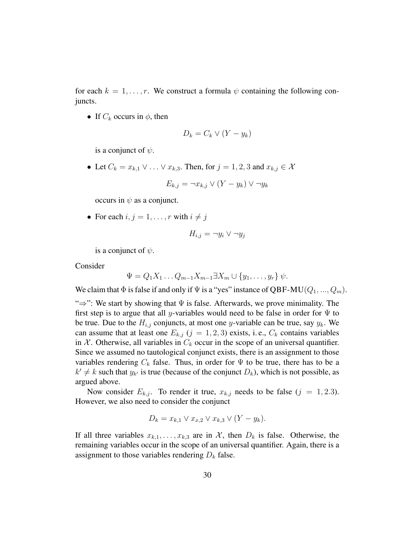for each  $k = 1, \ldots, r$ . We construct a formula  $\psi$  containing the following conjuncts.

• If  $C_k$  occurs in  $\phi$ , then

$$
D_k = C_k \vee (Y - y_k)
$$

is a conjunct of  $\psi$ .

• Let  $C_k = x_{k,1} \vee \ldots \vee x_{k,3}$ . Then, for  $j = 1, 2, 3$  and  $x_{k,j} \in \mathcal{X}$ 

$$
E_{k,j} = \neg x_{k,j} \lor (Y - y_k) \lor \neg y_k
$$

occurs in  $\psi$  as a conjunct.

• For each  $i, j = 1, \ldots, r$  with  $i \neq j$ 

$$
H_{i,j} = \neg y_i \vee \neg y_j
$$

is a conjunct of  $\psi$ .

Consider

$$
\Psi = Q_1 X_1 \dots Q_{m-1} X_{m-1} \exists X_m \cup \{y_1, \dots, y_r\} \psi.
$$

We claim that  $\Phi$  is false if and only if  $\Psi$  is a "yes" instance of QBF-MU( $Q_1, ..., Q_m$ ).

 $\Rightarrow$ ": We start by showing that  $\Psi$  is false. Afterwards, we prove minimality. The first step is to argue that all y-variables would need to be false in order for  $\Psi$  to be true. Due to the  $H_{i,j}$  conjuncts, at most one y-variable can be true, say  $y_k$ . We can assume that at least one  $E_{k,j}$  ( $j = 1, 2, 3$ ) exists, i.e.,  $C_k$  contains variables in X. Otherwise, all variables in  $C_k$  occur in the scope of an universal quantifier. Since we assumed no tautological conjunct exists, there is an assignment to those variables rendering  $C_k$  false. Thus, in order for  $\Psi$  to be true, there has to be a  $k' \neq k$  such that  $y_{k'}$  is true (because of the conjunct  $D_k$ ), which is not possible, as argued above.

Now consider  $E_{k,j}$ . To render it true,  $x_{k,j}$  needs to be false  $(j = 1, 2.3)$ . However, we also need to consider the conjunct

$$
D_k = x_{k,1} \vee x_{k,2} \vee x_{k,3} \vee (Y - y_k).
$$

If all three variables  $x_{k,1}, \ldots, x_{k,3}$  are in X, then  $D_k$  is false. Otherwise, the remaining variables occur in the scope of an universal quantifier. Again, there is a assignment to those variables rendering  $D_k$  false.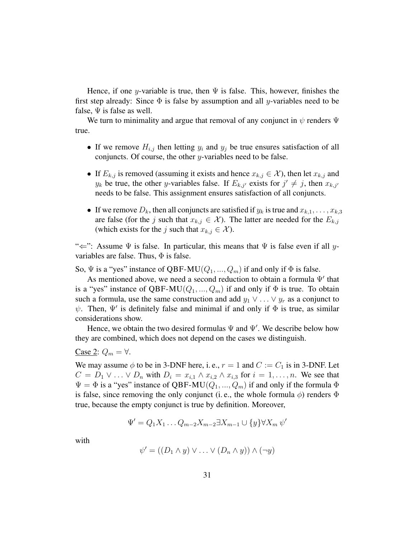Hence, if one y-variable is true, then  $\Psi$  is false. This, however, finishes the first step already: Since  $\Phi$  is false by assumption and all y-variables need to be false,  $\Psi$  is false as well.

We turn to minimality and argue that removal of any conjunct in  $\psi$  renders  $\Psi$ true.

- If we remove  $H_{i,j}$  then letting  $y_i$  and  $y_j$  be true ensures satisfaction of all conjuncts. Of course, the other  $y$ -variables need to be false.
- If  $E_{k,j}$  is removed (assuming it exists and hence  $x_{k,j} \in \mathcal{X}$ ), then let  $x_{k,j}$  and  $y_k$  be true, the other y-variables false. If  $E_{k,j'}$  exists for  $j' \neq j$ , then  $x_{k,j'}$ needs to be false. This assignment ensures satisfaction of all conjuncts.
- If we remove  $D_k$ , then all conjuncts are satisfied if  $y_k$  is true and  $x_{k,1}, \ldots, x_{k,3}$ are false (for the j such that  $x_{k,j} \in \mathcal{X}$ ). The latter are needed for the  $E_{k,j}$ (which exists for the j such that  $x_{k,j} \in \mathcal{X}$ ).

" $\Leftarrow$ ": Assume  $\Psi$  is false. In particular, this means that  $\Psi$  is false even if all yvariables are false. Thus,  $\Phi$  is false.

So,  $\Psi$  is a "yes" instance of QBF-MU( $Q_1, ..., Q_m$ ) if and only if  $\Phi$  is false.

As mentioned above, we need a second reduction to obtain a formula  $\Psi'$  that is a "yes" instance of QBF-MU( $Q_1, ..., Q_m$ ) if and only if  $\Phi$  is true. To obtain such a formula, use the same construction and add  $y_1 \vee \ldots \vee y_r$  as a conjunct to  $\psi$ . Then,  $\Psi'$  is definitely false and minimal if and only if  $\Phi$  is true, as similar considerations show.

Hence, we obtain the two desired formulas  $\Psi$  and  $\Psi'$ . We describe below how they are combined, which does not depend on the cases we distinguish.

Case 2:  $Q_m = \forall$ .

We may assume  $\phi$  to be in 3-DNF here, i.e.,  $r = 1$  and  $C := C_1$  is in 3-DNF. Let  $C = D_1 \vee \ldots \vee D_n$  with  $D_i = x_{i,1} \wedge x_{i,2} \wedge x_{i,3}$  for  $i = 1, \ldots, n$ . We see that  $\Psi = \Phi$  is a "yes" instance of QBF-MU( $Q_1, ..., Q_m$ ) if and only if the formula  $\Phi$ is false, since removing the only conjunct (i.e., the whole formula  $\phi$ ) renders  $\Phi$ true, because the empty conjunct is true by definition. Moreover,

$$
\Psi' = Q_1 X_1 \dots Q_{m-2} X_{m-2} \exists X_{m-1} \cup \{y\} \forall X_m \psi'
$$

with

$$
\psi' = ((D_1 \wedge y) \vee \ldots \vee (D_n \wedge y)) \wedge (\neg y)
$$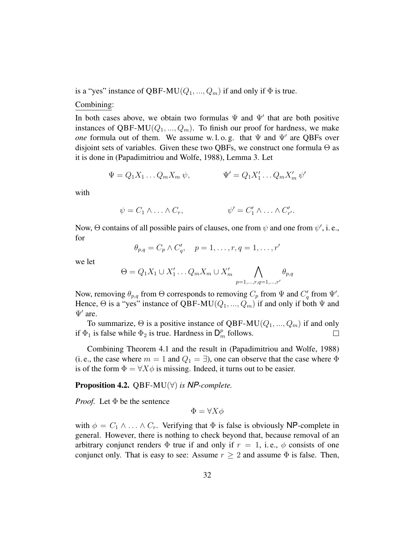is a "yes" instance of QBF-MU( $Q_1, ..., Q_m$ ) if and only if  $\Phi$  is true.

### Combining:

In both cases above, we obtain two formulas  $\Psi$  and  $\Psi'$  that are both positive instances of QBF-MU( $Q_1, ..., Q_m$ ). To finish our proof for hardness, we make *one* formula out of them. We assume w.l.o.g. that  $\Psi$  and  $\Psi'$  are QBFs over disjoint sets of variables. Given these two QBFs, we construct one formula  $\Theta$  as it is done in (Papadimitriou and Wolfe, 1988), Lemma 3. Let

$$
\Psi = Q_1 X_1 \dots Q_m X_m \psi, \qquad \Psi' = Q_1 X'_1 \dots Q_m X'_m \psi'
$$

with

$$
\psi = C_1 \wedge \ldots \wedge C_r, \qquad \psi' = C'_1 \wedge \ldots \wedge C'_{r'}.
$$

Now,  $\Theta$  contains of all possible pairs of clauses, one from  $\psi$  and one from  $\psi'$ , i.e., for

$$
\theta_{p,q} = C_p \wedge C'_q, \quad p = 1, \dots, r, q = 1, \dots, r'
$$

we let

$$
\Theta = Q_1 X_1 \cup X'_1 \dots Q_m X_m \cup X'_m \bigwedge_{p=1,\dots,r,q=1,\dots,r'} \theta_{p,q}
$$

Now, removing  $\theta_{p,q}$  from  $\Theta$  corresponds to removing  $C_p$  from  $\Psi$  and  $C'_q$  from  $\Psi'$ . Hence,  $\Theta$  is a "yes" instance of QBF-MU( $Q_1, ..., Q_m$ ) if and only if both  $\Psi$  and  $\Psi'$  are.

To summarize,  $\Theta$  is a positive instance of QBF-MU( $Q_1, ..., Q_m$ ) if and only if  $\Phi_1$  is false while  $\Phi_2$  is true. Hardness in  $\mathsf{D}_m^p$  follows.  $\Box$ 

Combining Theorem 4.1 and the result in (Papadimitriou and Wolfe, 1988) (i. e., the case where  $m = 1$  and  $Q_1 = \exists$ ), one can observe that the case where  $\Phi$ is of the form  $\Phi = \forall X \phi$  is missing. Indeed, it turns out to be easier.

# Proposition 4.2. QBF-MU(∀) *is NP-complete.*

*Proof.* Let  $\Phi$  be the sentence

 $\Phi = \forall X \phi$ 

with  $\phi = C_1 \wedge \ldots \wedge C_r$ . Verifying that  $\Phi$  is false is obviously NP-complete in general. However, there is nothing to check beyond that, because removal of an arbitrary conjunct renders  $\Phi$  true if and only if  $r = 1$ , i.e.,  $\phi$  consists of one conjunct only. That is easy to see: Assume  $r \geq 2$  and assume  $\Phi$  is false. Then,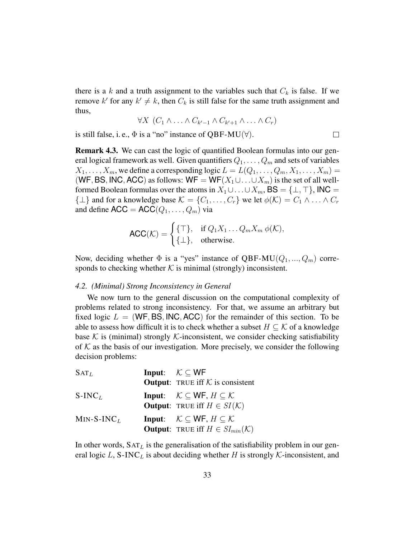there is a k and a truth assignment to the variables such that  $C_k$  is false. If we remove k' for any  $k' \neq k$ , then  $C_k$  is still false for the same truth assignment and thus,

$$
\forall X \ (C_1 \land \ldots \land C_{k'-1} \land C_{k'+1} \land \ldots \land C_r)
$$

is still false, i. e.,  $\Phi$  is a "no" instance of QBF-MU( $\forall$ ).

$$
\qquad \qquad \Box
$$

Remark 4.3. We can cast the logic of quantified Boolean formulas into our general logical framework as well. Given quantifiers  $Q_1, \ldots, Q_m$  and sets of variables  $X_1, \ldots, X_m$ , we define a corresponding logic  $L = L(Q_1, \ldots, Q_m, X_1, \ldots, X_m)$ (WF, BS, INC, ACC) as follows: WF = WF( $X_1 \cup ... \cup X_m$ ) is the set of all wellformed Boolean formulas over the atoms in  $X_1 \cup \ldots \cup X_m$ , BS = { $\bot$ ,  $\top$ }, INC =  $\{\perp\}$  and for a knowledge base  $\mathcal{K} = \{C_1, \ldots, C_r\}$  we let  $\phi(\mathcal{K}) = C_1 \wedge \ldots \wedge C_r$ and define  $\text{ACC} = \text{ACC}(Q_1, \ldots, Q_m)$  via

$$
\mathsf{ACC}(\mathcal{K}) = \begin{cases} \{\top\}, & \text{if } Q_1X_1 \dots Q_m X_m \ \phi(\mathcal{K}), \\ \{\perp\}, & \text{otherwise.} \end{cases}
$$

Now, deciding whether  $\Phi$  is a "yes" instance of QBF-MU( $Q_1, ..., Q_m$ ) corresponds to checking whether  $K$  is minimal (strongly) inconsistent.

#### *4.2. (Minimal) Strong Inconsistency in General*

We now turn to the general discussion on the computational complexity of problems related to strong inconsistency. For that, we assume an arbitrary but fixed logic  $L = (WF, BS, INC, ACC)$  for the remainder of this section. To be able to assess how difficult it is to check whether a subset  $H \subseteq \mathcal{K}$  of a knowledge base K is (minimal) strongly K-inconsistent, we consider checking satisfiability of  $K$  as the basis of our investigation. More precisely, we consider the following decision problems:

| $SAT_L$      | <b>Input:</b> $K \subset WF$                                                                                                    |
|--------------|---------------------------------------------------------------------------------------------------------------------------------|
|              | <b>Output:</b> TRUE iff $K$ is consistent                                                                                       |
| $S-INCL$     | <b>Input:</b> $\mathcal{K} \subset \mathsf{WF}, H \subset \mathcal{K}$<br><b>Output:</b> TRUE iff $H \in SI(\mathcal{K})$       |
| $MIN-S-INCL$ | <b>Input:</b> $\mathcal{K} \subset \mathsf{WF}, H \subset \mathcal{K}$<br><b>Output:</b> TRUE iff $H \in SI_{min}(\mathcal{K})$ |

In other words,  $SAT<sub>L</sub>$  is the generalisation of the satisfiability problem in our general logic L, S-INC<sub>L</sub> is about deciding whether H is strongly K-inconsistent, and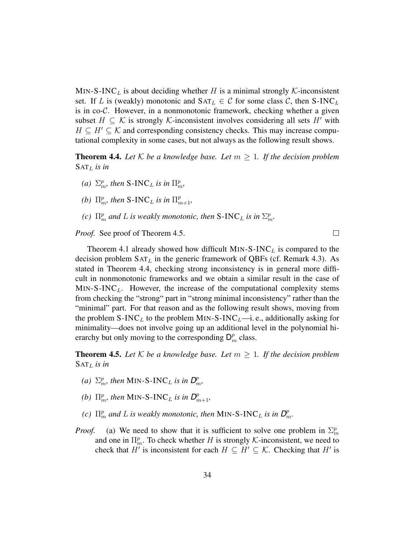MIN-S-INC<sub>L</sub> is about deciding whether H is a minimal strongly K-inconsistent set. If L is (weakly) monotonic and  $SAT_L \in C$  for some class C, then S-INC<sub>L</sub> is in co- $\mathcal{C}$ . However, in a nonmonotonic framework, checking whether a given subset  $H \subseteq \mathcal{K}$  is strongly K-inconsistent involves considering all sets H' with  $H \subseteq H' \subseteq \mathcal{K}$  and corresponding consistency checks. This may increase computational complexity in some cases, but not always as the following result shows.

**Theorem 4.4.** Let K be a knowledge base. Let  $m \geq 1$ . If the decision problem SAT<sup>L</sup> *is in*

- *(a)*  $\Sigma_m^p$ , then S-INC<sub>L</sub> is in  $\Pi_m^p$ ,
- *(b)*  $\Pi_m^p$ , then S-INC<sub>L</sub> is in  $\Pi_{m+1}^p$ ,
- *(c)*  $\Pi_m^p$  *and L is weakly monotonic, then* S-INC<sub>*L*</sub> *is in*  $\Sigma_m^p$ .

*Proof.* See proof of Theorem 4.5.

Theorem 4.1 already showed how difficult MIN-S-INC<sub>L</sub> is compared to the decision problem  $SAT<sub>L</sub>$  in the generic framework of QBFs (cf. Remark 4.3). As stated in Theorem 4.4, checking strong inconsistency is in general more difficult in nonmonotonic frameworks and we obtain a similar result in the case of  $MIN-S-INC<sub>L</sub>$ . However, the increase of the computational complexity stems from checking the "strong" part in "strong minimal inconsistency" rather than the "minimal" part. For that reason and as the following result shows, moving from the problem  $S\text{-}INC<sub>L</sub>$  to the problem MIN-S-INC<sub>L</sub>—i. e., additionally asking for minimality—does not involve going up an additional level in the polynomial hierarchy but only moving to the corresponding  $\mathsf{D}_m^p$  class.

**Theorem 4.5.** Let K be a knowledge base. Let  $m \geq 1$ . If the decision problem  $SAT<sub>L</sub>$  *is in* 

- *(a)*  $\Sigma_m^p$ , then MIN-S-INC<sub>L</sub> is in  $D_m^p$ ,
- *(b)*  $\Pi_m^p$ , then MIN-S-INC<sub>L</sub> is in  $D_{m+1}^p$ ,
- *(c)*  $\Pi_m^p$  and L is weakly monotonic, then MIN-S-INC<sub>L</sub> is in  $D_m^p$ .
- *Proof.* (a) We need to show that it is sufficient to solve one problem in  $\Sigma_m^p$ and one in  $\Pi_m^p$ . To check whether H is strongly K-inconsistent, we need to check that H' is inconsistent for each  $H \subseteq H' \subseteq \mathcal{K}$ . Checking that H' is

 $\Box$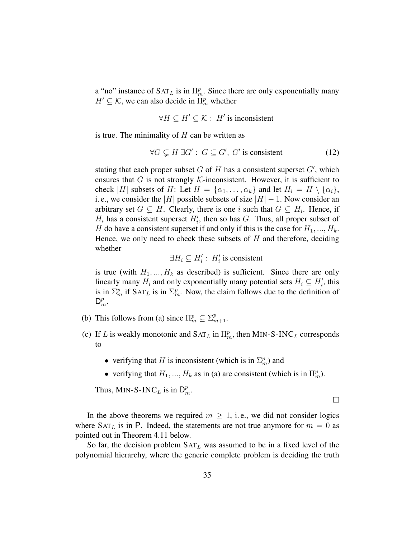a "no" instance of  $SAT<sub>L</sub>$  is in  $\Pi_m^p$ . Since there are only exponentially many  $H' \subseteq \mathcal{K}$ , we can also decide in  $\Pi_m^p$  whether

$$
\forall H \subseteq H' \subseteq \mathcal{K} : H' \text{ is inconsistent}
$$

is true. The minimality of  $H$  can be written as

$$
\forall G \subsetneq H \exists G' : G \subseteq G', G' \text{ is consistent} \tag{12}
$$

stating that each proper subset  $G$  of  $H$  has a consistent superset  $G'$ , which ensures that G is not strongly  $K$ -inconsistent. However, it is sufficient to check |H| subsets of H: Let  $H = {\alpha_1, \dots, \alpha_k}$  and let  $H_i = H \setminus {\alpha_i}$ , i. e., we consider the |H| possible subsets of size  $|H| - 1$ . Now consider an arbitrary set  $G \subsetneq H$ . Clearly, there is one i such that  $G \subseteq H_i$ . Hence, if  $H_i$  has a consistent superset  $H'_i$ , then so has G. Thus, all proper subset of H do have a consistent superset if and only if this is the case for  $H_1, ..., H_k$ . Hence, we only need to check these subsets of  $H$  and therefore, deciding whether

 $\exists H_i \subseteq H'_i : H'_i$  is consistent

is true (with  $H_1, ..., H_k$  as described) is sufficient. Since there are only linearly many  $H_i$  and only exponentially many potential sets  $H_i \subseteq H'_i$ , this is in  $\Sigma_m^p$  if  $\text{SAT}_L$  is in  $\Sigma_m^p$ . Now, the claim follows due to the definition of  $\mathsf{D}_m^p$ .

- (b) This follows from (a) since  $\Pi_m^p \subseteq \Sigma_{m+1}^p$ .
- (c) If L is weakly monotonic and  $SAT_L$  in  $\Pi_m^p$ , then MIN-S-INC<sub>L</sub> corresponds to
	- verifying that H is inconsistent (which is in  $\Sigma_m^p$ ) and
	- verifying that  $H_1, ..., H_k$  as in (a) are consistent (which is in  $\Pi_m^p$ ).

Thus, MIN-S-INC<sub>L</sub> is in  $\mathsf{D}_m^p$ .

In the above theorems we required  $m > 1$ , i.e., we did not consider logics where  $SAT<sub>L</sub>$  is in P. Indeed, the statements are not true anymore for  $m = 0$  as pointed out in Theorem 4.11 below.

So far, the decision problem  $SAT<sub>L</sub>$  was assumed to be in a fixed level of the polynomial hierarchy, where the generic complete problem is deciding the truth

 $\Box$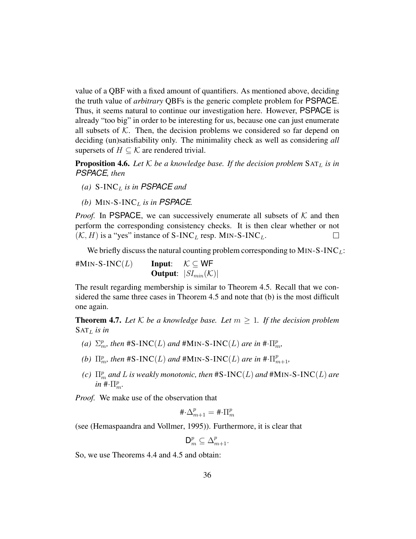value of a QBF with a fixed amount of quantifiers. As mentioned above, deciding the truth value of *arbitrary* QBFs is the generic complete problem for PSPACE. Thus, it seems natural to continue our investigation here. However, PSPACE is already "too big" in order to be interesting for us, because one can just enumerate all subsets of  $K$ . Then, the decision problems we considered so far depend on deciding (un)satisfiability only. The minimality check as well as considering *all* supersets of  $H \subset \mathcal{K}$  are rendered trivial.

**Proposition 4.6.** Let  $K$  be a knowledge base. If the decision problem  $SAT<sub>L</sub>$  is in *PSPACE, then*

- $(a)$  S-INC<sub>L</sub> is in PSPACE and
- *(b)* MIN-S-INC<sub>L</sub> is in PSPACE.

*Proof.* In PSPACE, we can successively enumerate all subsets of  $K$  and then perform the corresponding consistency checks. It is then clear whether or not  $(\mathcal{K}, H)$  is a "yes" instance of S-INC<sub>L</sub> resp. MIN-S-INC<sub>L</sub>.  $\Box$ 

We briefly discuss the natural counting problem corresponding to  $MIN-S-INC<sub>L</sub>$ :

 $#MIN-S-INC(L)$  Input:  $K \subseteq WF$ **Output:**  $|SI_{min}(\mathcal{K})|$ 

The result regarding membership is similar to Theorem 4.5. Recall that we considered the same three cases in Theorem 4.5 and note that (b) is the most difficult one again.

**Theorem 4.7.** Let K be a knowledge base. Let  $m \geq 1$ . If the decision problem  $SAT<sub>L</sub>$  *is in* 

- (a)  $\Sigma_m^p$ , then #S-INC(L) and #MIN-S-INC(L) are in # $\cdot\Pi_m^p$ ,
- (b)  $\Pi_m^p$ , then #S-INC(L) and #MIN-S-INC(L) are in # $\cdot\Pi_{m+1}^p$ ,
- *(c)*  $\Pi_m^p$  and L is weakly monotonic, then  $\text{\#S-INC}(L)$  and  $\text{\#MIN-S-INC}(L)$  are  $in \ \# \cdot \prod_{m}^{p}$ .

*Proof.* We make use of the observation that

$$
\#\!\cdot\!\Delta_{m+1}^p=\#\!\cdot\!\Pi_m^p
$$

(see (Hemaspaandra and Vollmer, 1995)). Furthermore, it is clear that

$$
\mathsf{D}_m^p \subseteq \Delta_{m+1}^p.
$$

So, we use Theorems 4.4 and 4.5 and obtain: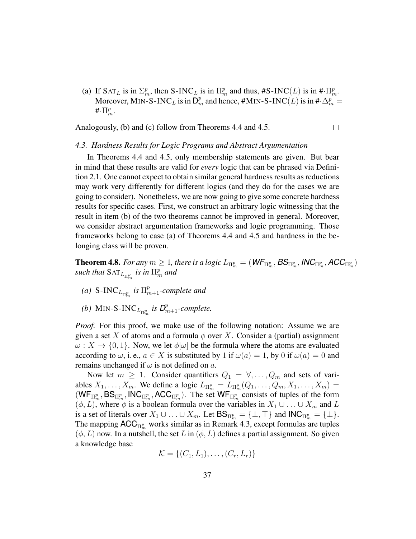(a) If  $SAT_L$  is in  $\Sigma_m^p$ , then S-INC<sub>L</sub> is in  $\Pi_m^p$  and thus, #S-INC(L) is in # $\Pi_m^p$ . Moreover, MIN-S-INC<sub>L</sub> is in  $\mathsf{D}_m^p$  and hence, #MIN-S-INC(L) is in # $\cdot \Delta_m^p =$  $\#\cdot \prod_m^p$ .

Analogously, (b) and (c) follow from Theorems 4.4 and 4.5.  $\Box$ 

#### *4.3. Hardness Results for Logic Programs and Abstract Argumentation*

In Theorems 4.4 and 4.5, only membership statements are given. But bear in mind that these results are valid for *every* logic that can be phrased via Definition 2.1. One cannot expect to obtain similar general hardness results as reductions may work very differently for different logics (and they do for the cases we are going to consider). Nonetheless, we are now going to give some concrete hardness results for specific cases. First, we construct an arbitrary logic witnessing that the result in item (b) of the two theorems cannot be improved in general. Moreover, we consider abstract argumentation frameworks and logic programming. Those frameworks belong to case (a) of Theorems 4.4 and 4.5 and hardness in the belonging class will be proven.

**Theorem 4.8.** For any  $m\geq 1$ , there is a logic  $L_{\Pi^p_m}=(\textit{WF}_{\Pi^p_m}, \textit{BS}_{\Pi^p_m}, \textit{INC}_{\Pi^p_m}, \textit{ACC}_{\Pi^p_m})$  $\mathit{such that }$   $\text{SAT}_{L_{\Pi_{m}^{p}}}$  *is in*  $\Pi_{m}^{p}$  *and* 

- (a)  $S\text{-INC}_{L_{\Pi_{m}^{p}}}$  is  $\Pi_{m+1}^{p}$ -complete and
- *(b)* MIN-S-INC<sub>L<sub> $\Pi_m^p$ </sub> is  $D_{m+1}^p$ -complete.</sub>

*Proof.* For this proof, we make use of the following notation: Assume we are given a set X of atoms and a formula  $\phi$  over X. Consider a (partial) assignment  $\omega: X \to \{0, 1\}$ . Now, we let  $\phi[\omega]$  be the formula where the atoms are evaluated according to  $\omega$ , i.e.,  $a \in X$  is substituted by 1 if  $\omega(a) = 1$ , by 0 if  $\omega(a) = 0$  and remains unchanged if  $\omega$  is not defined on a.

Now let  $m \geq 1$ . Consider quantifiers  $Q_1 = \forall, \dots, Q_m$  and sets of variables  $X_1, \ldots, X_m$ . We define a logic  $L_{\Pi_m^p} = L_{\Pi_m^p}(Q_1, \ldots, Q_m, X_1, \ldots, X_m)$  =  $(WF_{\Pi_{m}^{p}}, BS_{\Pi_{m}^{p}}, \text{INC}_{\Pi_{m}^{p}}, ACC_{\Pi_{m}^{p}})$ . The set  $WF_{\Pi_{m}^{p}}$  consists of tuples of the form  $(\phi, L)$ , where  $\phi$  is a boolean formula over the variables in  $X_1 \cup \ldots \cup X_m$  and L is a set of literals over  $X_1 \cup \ldots \cup X_m$ . Let  $BS_{\Pi_m^p} = {\{\bot, \top\}}$  and  $\mathsf{INC}_{\Pi_m^p} = {\{\bot\}}$ . The mapping  $\mathsf{ACC}_{\Pi^p_m}$  works similar as in Remark 4.3, except formulas are tuples  $(\phi, L)$  now. In a nutshell, the set L in  $(\phi, L)$  defines a partial assignment. So given a knowledge base

$$
\mathcal{K} = \{(C_1,L_1),\ldots,(C_r,L_r)\}
$$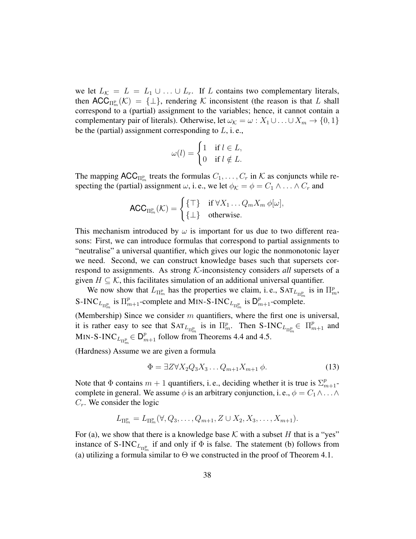we let  $L_K = L = L_1 \cup ... \cup L_r$ . If L contains two complementary literals, then  $\mathsf{ACC}_{\Pi^p_m}(\mathcal{K}) = {\{\perp\}}$ , rendering  $\mathcal K$  inconsistent (the reason is that L shall correspond to a (partial) assignment to the variables; hence, it cannot contain a complementary pair of literals). Otherwise, let  $\omega_K = \omega : X_1 \cup ... \cup X_m \rightarrow \{0, 1\}$ be the (partial) assignment corresponding to  $L$ , i.e.,

$$
\omega(l) = \begin{cases} 1 & \text{if } l \in L, \\ 0 & \text{if } l \notin L. \end{cases}
$$

The mapping  $\mathsf{ACC}_{\Pi^p_m}$  treats the formulas  $C_1, \ldots, C_r$  in K as conjuncts while respecting the (partial) assignment  $\omega$ , i.e., we let  $\phi_K = \phi = C_1 \wedge \ldots \wedge C_r$  and

$$
\mathsf{ACC}_{\Pi_{m}^{p}}(\mathcal{K})=\begin{cases}\{\top\} & \text{if }\forall X_{1}\ldots Q_{m}X_{m} \phi[\omega], \\ \{\bot\} & \text{otherwise.}\end{cases}
$$

This mechanism introduced by  $\omega$  is important for us due to two different reasons: First, we can introduce formulas that correspond to partial assignments to "neutralise" a universal quantifier, which gives our logic the nonmonotonic layer we need. Second, we can construct knowledge bases such that supersets correspond to assignments. As strong K-inconsistency considers *all* supersets of a given  $H \subseteq \mathcal{K}$ , this facilitates simulation of an additional universal quantifier.

We now show that  $L_{\Pi_m^p}$  has the properties we claim, i.e.,  $SAT_{L_{\Pi_m^p}}$  is in  $\Pi_m^p$ , S-INC<sub>L<sub>Π<sup>*n*</sup></sub> is  $\Pi_{m+1}^p$ -complete and MIN-S-INC<sub>L<sub>Π</sub>*n*</sub> is  $D_{m+1}^p$ -complete.</sub>

(Membership) Since we consider  $m$  quantifiers, where the first one is universal, it is rather easy to see that  $SAT_{L_{\Pi_m^p}}$  is in  $\Pi_m^p$ . Then  $S\text{-}INC_{L_{\Pi_m^p}} \in \Pi_{m+1}^p$  and MIN-S-INC $L_{\Pi_{m}^{p}} \in \mathsf{D}_{m+1}^{p}$  follow from Theorems 4.4 and 4.5.

(Hardness) Assume we are given a formula

$$
\Phi = \exists Z \forall X_2 Q_3 X_3 \dots Q_{m+1} X_{m+1} \phi. \tag{13}
$$

Note that  $\Phi$  contains  $m + 1$  quantifiers, i.e., deciding whether it is true is  $\sum_{m+1}^{p}$ complete in general. We assume  $\phi$  is an arbitrary conjunction, i.e.,  $\phi = C_1 \wedge \ldots \wedge$  $C_r$ . We consider the logic

$$
L_{\Pi_m^p} = L_{\Pi_m^p}(\forall, Q_3, \dots, Q_{m+1}, Z \cup X_2, X_3, \dots, X_{m+1}).
$$

For (a), we show that there is a knowledge base  $K$  with a subset H that is a "yes" instance of S-INC<sub>L<sub>II</sub><sup>p</sup><sub>1</sub> if and only if  $\Phi$  is false. The statement (b) follows from</sub> (a) utilizing a formula similar to  $\Theta$  we constructed in the proof of Theorem 4.1.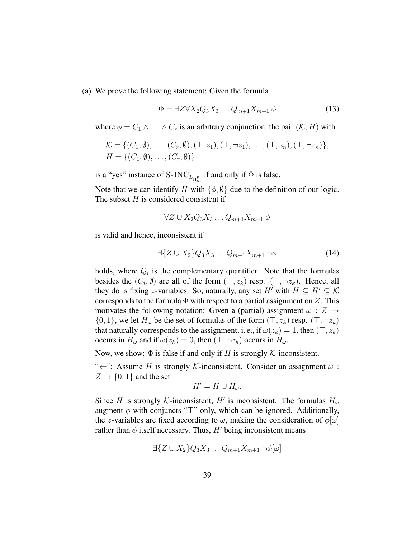(a) We prove the following statement: Given the formula

$$
\Phi = \exists Z \forall X_2 Q_3 X_3 \dots Q_{m+1} X_{m+1} \phi \tag{13}
$$

where  $\phi = C_1 \wedge \ldots \wedge C_r$  is an arbitrary conjunction, the pair  $(\mathcal{K}, H)$  with

$$
\mathcal{K} = \{ (C_1, \emptyset), \ldots, (C_r, \emptyset), (\top, z_1), (\top, \neg z_1), \ldots, (\top, z_n), (\top, \neg z_n) \},
$$
  

$$
H = \{ (C_1, \emptyset), \ldots, (C_r, \emptyset) \}
$$

is a "yes" instance of S-INC $L_{\Pi_{m}^{p}}$  if and only if  $\Phi$  is false.

Note that we can identify H with  $\{\phi, \emptyset\}$  due to the definition of our logic. The subset  $H$  is considered consistent if

$$
\forall Z \cup X_2 Q_3 X_3 \dots Q_{m+1} X_{m+1} \phi
$$

is valid and hence, inconsistent if

$$
\exists \{ Z \cup X_2 \} \overline{Q_3} X_3 \dots \overline{Q_{m+1}} X_{m+1} \neg \phi \tag{14}
$$

holds, where  $\overline{Q_i}$  is the complementary quantifier. Note that the formulas besides the  $(C_i, \emptyset)$  are all of the form  $(\top, z_k)$  resp.  $(\top, \neg z_k)$ . Hence, all they do is fixing z-variables. So, naturally, any set H' with  $H \subseteq H' \subseteq \mathcal{K}$ corresponds to the formula  $\Phi$  with respect to a partial assignment on Z. This motivates the following notation: Given a (partial) assignment  $\omega : Z \rightarrow$  $\{0, 1\}$ , we let  $H_{\omega}$  be the set of formulas of the form  $(\top, z_k)$  resp.  $(\top, \neg z_k)$ that naturally corresponds to the assignment, i. e., if  $\omega(z_k) = 1$ , then  $(\top, z_k)$ occurs in  $H_{\omega}$  and if  $\omega(z_k) = 0$ , then  $(\top, \neg z_k)$  occurs in  $H_{\omega}$ .

Now, we show:  $\Phi$  is false if and only if H is strongly K-inconsistent.

" $\Leftarrow$ ": Assume H is strongly K-inconsistent. Consider an assignment  $\omega$ :  $Z \rightarrow \{0, 1\}$  and the set

$$
H'=H\cup H_{\omega}.
$$

Since H is strongly K-inconsistent, H' is inconsistent. The formulas  $H_{\omega}$ augment  $\phi$  with conjuncts " $\top$ " only, which can be ignored. Additionally, the z-variables are fixed according to  $\omega$ , making the consideration of  $\phi[\omega]$ rather than  $\phi$  itself necessary. Thus, H' being inconsistent means

$$
\exists \{ Z \cup X_2 \} \overline{Q_3} X_3 \dots \overline{Q_{m+1}} X_{m+1} \neg \phi[\omega]
$$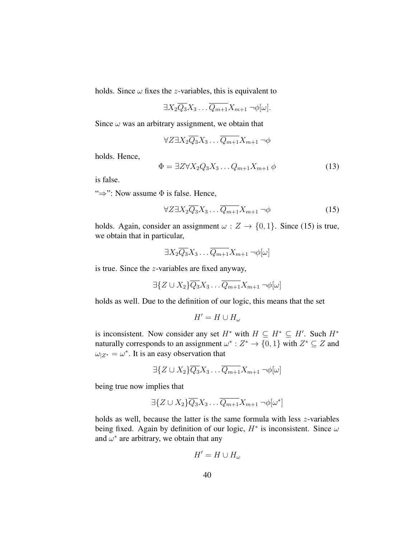holds. Since  $\omega$  fixes the *z*-variables, this is equivalent to

$$
\exists X_2 \overline{Q_3} X_3 \dots \overline{Q_{m+1}} X_{m+1} \neg \phi[\omega].
$$

Since  $\omega$  was an arbitrary assignment, we obtain that

$$
\forall Z \exists X_2 \overline{Q_3} X_3 \dots \overline{Q_{m+1}} X_{m+1} \neg \phi
$$

holds. Hence,

$$
\Phi = \exists Z \forall X_2 Q_3 X_3 \dots Q_{m+1} X_{m+1} \phi \tag{13}
$$

is false.

" $\Rightarrow$ ": Now assume  $\Phi$  is false. Hence,

$$
\forall Z \exists X_2 \overline{Q_3} X_3 \dots \overline{Q_{m+1}} X_{m+1} \neg \phi \tag{15}
$$

holds. Again, consider an assignment  $\omega : Z \to \{0, 1\}$ . Since (15) is true, we obtain that in particular,

$$
\exists X_2 \overline{Q_3} X_3 \dots \overline{Q_{m+1}} X_{m+1} \neg \phi[\omega]
$$

is true. Since the z-variables are fixed anyway,

$$
\exists \{ Z \cup X_2 \} \overline{Q_3} X_3 \dots \overline{Q_{m+1}} X_{m+1} \neg \phi[\omega]
$$

holds as well. Due to the definition of our logic, this means that the set

$$
H'=H\cup H_\omega
$$

is inconsistent. Now consider any set  $H^*$  with  $H \subseteq H^* \subseteq H'$ . Such  $H^*$ naturally corresponds to an assignment  $\omega^* : Z^* \to \{0, 1\}$  with  $Z^* \subseteq Z$  and  $\omega_{Z^*} = \omega^*$ . It is an easy observation that

$$
\exists \{Z \cup X_2\} \overline{Q_3} X_3 \dots \overline{Q_{m+1}} X_{m+1} \neg \phi[\omega]
$$

being true now implies that

$$
\exists \{ Z \cup X_2 \} \overline{Q_3} X_3 \dots \overline{Q_{m+1}} X_{m+1} \neg \phi[\omega^*]
$$

holds as well, because the latter is the same formula with less z-variables being fixed. Again by definition of our logic,  $H^*$  is inconsistent. Since  $\omega$ and  $\omega^*$  are arbitrary, we obtain that any

$$
H'=H\cup H_{\omega}
$$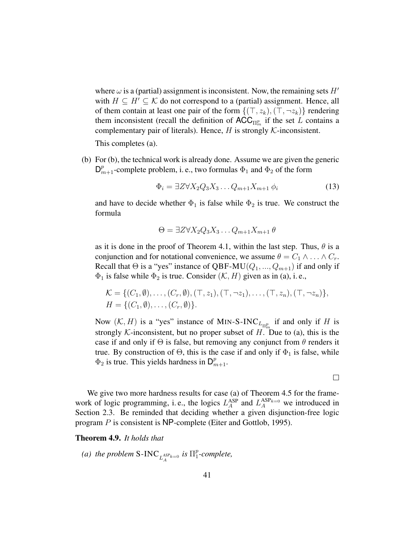where  $\omega$  is a (partial) assignment is inconsistent. Now, the remaining sets  $H'$ with  $H \subseteq H' \subseteq \mathcal{K}$  do not correspond to a (partial) assignment. Hence, all of them contain at least one pair of the form  $\{(\top, z_k),(\top, \neg z_k)\}\$  rendering them inconsistent (recall the definition of  $\mathsf{ACC}_{\Pi^p_m}$  if the set L contains a complementary pair of literals). Hence,  $H$  is strongly  $K$ -inconsistent.

This completes (a).

(b) For (b), the technical work is already done. Assume we are given the generic  $\mathsf{D}_{m+1}^p$ -complete problem, i. e., two formulas  $\Phi_1$  and  $\Phi_2$  of the form

$$
\Phi_i = \exists Z \forall X_2 Q_3 X_3 \dots Q_{m+1} X_{m+1} \phi_i \tag{13}
$$

 $\Box$ 

and have to decide whether  $\Phi_1$  is false while  $\Phi_2$  is true. We construct the formula

$$
\Theta = \exists Z \forall X_2 Q_3 X_3 \dots Q_{m+1} X_{m+1} \theta
$$

as it is done in the proof of Theorem 4.1, within the last step. Thus,  $\theta$  is a conjunction and for notational convenience, we assume  $\theta = C_1 \wedge \ldots \wedge C_r$ . Recall that  $\Theta$  is a "yes" instance of QBF-MU( $Q_1, ..., Q_{m+1}$ ) if and only if  $\Phi_1$  is false while  $\Phi_2$  is true. Consider  $(\mathcal{K}, H)$  given as in (a), i.e.,

$$
\mathcal{K} = \{ (C_1, \emptyset), \ldots, (C_r, \emptyset), (\top, z_1), (\top, \neg z_1), \ldots, (\top, z_n), (\top, \neg z_n) \},\
$$
  

$$
H = \{ (C_1, \emptyset), \ldots, (C_r, \emptyset) \}.
$$

Now  $(K, H)$  is a "yes" instance of MIN-S-INC $L_{\Pi_m^p}$  if and only if H is strongly K-inconsistent, but no proper subset of  $H$ . Due to (a), this is the case if and only if  $\Theta$  is false, but removing any conjunct from  $\theta$  renders it true. By construction of  $\Theta$ , this is the case if and only if  $\Phi_1$  is false, while  $\Phi_2$  is true. This yields hardness in  $\mathsf{D}_{m+1}^p$ .

We give two more hardness results for case (a) of Theorem 4.5 for the framework of logic programming, i.e., the logics  $L_A^{ASP}$  and  $L_A^{ASP_{k=0}}$  we introduced in Section 2.3. Be reminded that deciding whether a given disjunction-free logic program P is consistent is NP-complete (Eiter and Gottlob, 1995).

#### Theorem 4.9. *It holds that*

*(a) the problem* S-INC  $L_A^{ASP_{k=0}}$  *is*  $\Pi_1^p$ 1 *-complete,*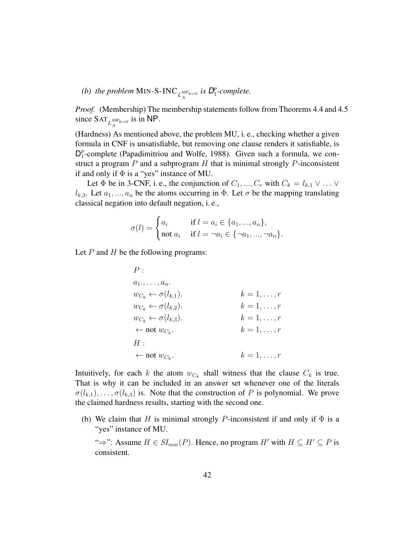*(b)* the problem MIN-S-INC  $_{L_A^{ASP_{k=0}}}$  is  $D_1^p$ 1 *-complete.*

*Proof.* (Membership) The membership statements follow from Theorems 4.4 and 4.5 since  $\text{SAT}_{L_A^{\text{ASP}_{k=0}}}$  is in NP.

(Hardness) As mentioned above, the problem MU, i. e., checking whether a given formula in CNF is unsatisfiable, but removing one clause renders it satisfiable, is  $\mathsf{D}_1^p$  $_1^p$ -complete (Papadimitriou and Wolfe, 1988). Given such a formula, we construct a program  $P$  and a subprogram  $H$  that is minimal strongly  $P$ -inconsistent if and only if  $\Phi$  is a "yes" instance of MU.

Let  $\Phi$  be in 3-CNF, i.e., the conjunction of  $C_1, ..., C_r$  with  $C_k = l_{k,1} \vee ... \vee$  $l_{k,3}$ . Let  $a_1, ..., a_n$  be the atoms occurring in  $\Phi$ . Let  $\sigma$  be the mapping translating classical negation into default negation, i. e.,

$$
\sigma(l) = \begin{cases} a_i & \text{if } l = a_i \in \{a_1, ..., a_n\}, \\ \text{not } a_i & \text{if } l = \neg a_i \in \{\neg a_1, ..., \neg a_n\}. \end{cases}
$$

Let  $P$  and  $H$  be the following programs:

$$
P:
$$
\n
$$
a_{1}, \ldots, a_{n}.
$$
\n
$$
w_{C_{k}} \leftarrow \sigma(l_{k,1}).
$$
\n
$$
w_{C_{k}} \leftarrow \sigma(l_{k,2}).
$$
\n
$$
k = 1, \ldots, r
$$
\n
$$
w_{C_{k}} \leftarrow \sigma(l_{k,3}).
$$
\n
$$
k = 1, \ldots, r
$$
\n
$$
\leftarrow \text{not } w_{C_{k}}.
$$
\n
$$
k = 1, \ldots, r
$$
\n
$$
H:
$$
\n
$$
\leftarrow \text{not } w_{C_{k}}.
$$
\n
$$
k = 1, \ldots, r
$$
\n
$$
k = 1, \ldots, r
$$
\n
$$
k = 1, \ldots, r
$$
\n
$$
k = 1, \ldots, r
$$

Intuitively, for each k the atom  $w_{C_k}$  shall witness that the clause  $C_k$  is true. That is why it can be included in an answer set whenever one of the literals  $\sigma(l_{k,1}), \ldots, \sigma(l_{k,3})$  is. Note that the construction of P is polynomial. We prove the claimed hardness results, starting with the second one.

(b) We claim that H is minimal strongly P-inconsistent if and only if  $\Phi$  is a "yes" instance of MU.

" $\Rightarrow$ ": Assume  $H \in SI_{min}(P)$ . Hence, no program H' with  $H \subseteq H' \subseteq P$  is consistent.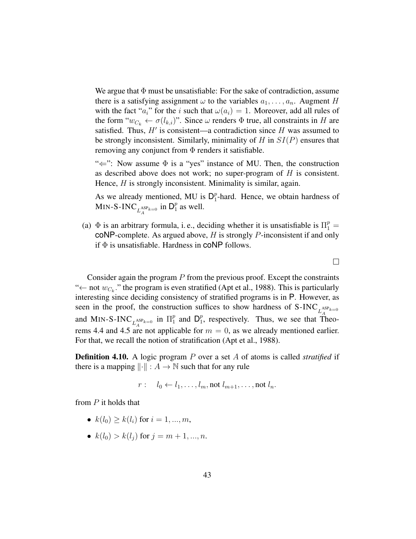We argue that  $\Phi$  must be unsatisfiable: For the sake of contradiction, assume there is a satisfying assignment  $\omega$  to the variables  $a_1, \ldots, a_n$ . Augment H with the fact "a<sub>i</sub>" for the i such that  $\omega(a_i) = 1$ . Moreover, add all rules of the form " $w_{C_k} \leftarrow \sigma(l_{k,i})$ ". Since  $\omega$  renders  $\Phi$  true, all constraints in H are satisfied. Thus,  $H'$  is consistent—a contradiction since H was assumed to be strongly inconsistent. Similarly, minimality of  $H$  in  $SI(P)$  ensures that removing any conjunct from  $\Phi$  renders it satisfiable.

" $\Leftarrow$ ": Now assume  $\Phi$  is a "yes" instance of MU. Then, the construction as described above does not work; no super-program of  $H$  is consistent. Hence, *H* is strongly inconsistent. Minimality is similar, again.

As we already mentioned, MU is  $D_1^p$  $_1^p$ -hard. Hence, we obtain hardness of MIN-S-INC  $_{L_A^{\text{ASP}_{k=0}}}$  in  $\mathsf{D}_1^p$  $_1^p$  as well.

(a)  $\Phi$  is an arbitrary formula, i.e., deciding whether it is unsatisfiable is  $\Pi_1^p =$  $coNP$ -complete. As argued above,  $H$  is strongly  $P$ -inconsistent if and only if  $\Phi$  is unsatisfiable. Hardness in **coNP** follows.

Consider again the program  $P$  from the previous proof. Except the constraints " $\leftarrow$  not  $w_{C_k}$ ." the program is even stratified (Apt et al., 1988). This is particularly interesting since deciding consistency of stratified programs is in P. However, as seen in the proof, the construction suffices to show hardness of  $S\text{-INC}_{L_A^{ASP_{k=0}}}$ and MIN-S-INC  $_{L_A^{ASP_{k=0}}}$  in  $\Pi_1^p$  and  $D_1^p$ , respectively. Thus, we see that  $T_A^p$  $_1^p$  and  $\mathsf{D}_1^p$  $_1^p$ , respectively. Thus, we see that Theorems 4.4 and 4.5 are not applicable for  $m = 0$ , as we already mentioned earlier. For that, we recall the notion of stratification (Apt et al., 1988).

Definition 4.10. A logic program P over a set A of atoms is called *stratified* if there is a mapping  $\|\cdot\| : A \to \mathbb{N}$  such that for any rule

 $r: \quad l_0 \leftarrow l_1, \ldots, l_m, \text{not } l_{m+1}, \ldots, \text{not } l_n.$ 

from P it holds that

- $k(l_0) \geq k(l_i)$  for  $i = 1, ..., m$ ,
- $k(l_0) > k(l_i)$  for  $j = m+1, ..., n$ .

 $\Box$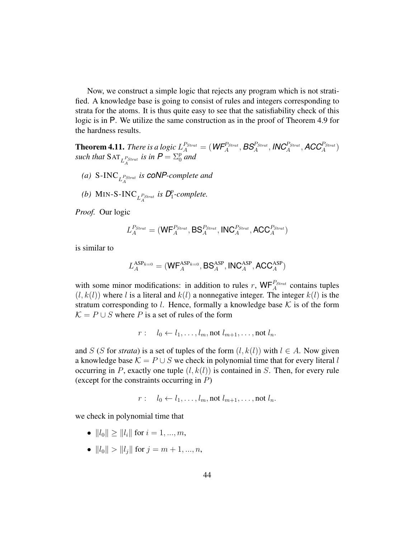Now, we construct a simple logic that rejects any program which is not stratified. A knowledge base is going to consist of rules and integers corresponding to strata for the atoms. It is thus quite easy to see that the satisfiability check of this logic is in P. We utilize the same construction as in the proof of Theorem 4.9 for the hardness results.

**Theorem 4.11.** *There is a logic*  $L_A^{P_{Strat}} = (\textit{WF}_A^{P_{Strat}}, \textit{BS}_A^{P_{Strat}}, \textit{INC}_A^{P_{Strat}}, \textit{ACC}_A^{P_{Strat}})$ *such that*  $SAT_{L_A^{P_{Strat}}}$  *is in*  $P = \sum_{0}^{p}$  *and* 

- (a)  $S\text{-INC}_{L_A^{P_{Strat}}}$  is  $\text{coNP-complete}$  and
- *(b)* MIN-S-INC<sub>L</sub><sup>P</sup>Strat</sub> is  $D_1^p$ 1 *-complete.*

*Proof.* Our logic

$$
L_A^{P_{Strat}} = (\mathsf{WF}_A^{P_{Strat}}, \mathsf{BS}_A^{P_{Strat}}, \mathsf{INC}_A^{P_{Strat}}, \mathsf{ACC}_A^{P_{Strat}})
$$

is similar to

$$
L_A^{\text{ASP}_{k=0}} = (\textsf{WF}_A^{\text{ASP}_{k=0}}, \textsf{BS}_A^{\text{ASP}}, \textsf{INC}_A^{\text{ASP}}, \textsf{ACC}_A^{\text{ASP}})
$$

with some minor modifications: in addition to rules r,  $WF_A^{P_{Strat}}$  contains tuples  $(l, k(l))$  where l is a literal and  $k(l)$  a nonnegative integer. The integer  $k(l)$  is the stratum corresponding to l. Hence, formally a knowledge base  $K$  is of the form  $\mathcal{K} = P \cup S$  where P is a set of rules of the form

$$
r: l_0 \leftarrow l_1, \ldots, l_m, \text{not } l_{m+1}, \ldots, \text{not } l_n.
$$

and S (S for *strata*) is a set of tuples of the form  $(l, k(l))$  with  $l \in A$ . Now given a knowledge base  $K = P \cup S$  we check in polynomial time that for every literal l occurring in P, exactly one tuple  $(l, k(l))$  is contained in S. Then, for every rule (except for the constraints occurring in  $P$ )

$$
r: l_0 \leftarrow l_1, \ldots, l_m, \text{not } l_{m+1}, \ldots, \text{not } l_n.
$$

we check in polynomial time that

- $||l_0|| \ge ||l_i||$  for  $i = 1, ..., m$ ,
- $||l_0|| > ||l_i||$  for  $j = m + 1, ..., n$ ,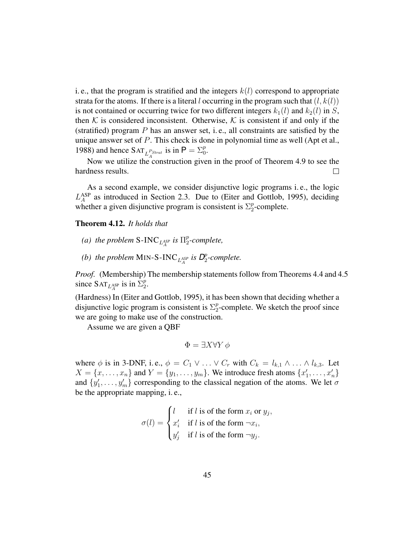i. e., that the program is stratified and the integers  $k(l)$  correspond to appropriate strata for the atoms. If there is a literal l occurring in the program such that  $(l, k(l))$ is not contained or occurring twice for two different integers  $k_1(l)$  and  $k_2(l)$  in S, then K is considered inconsistent. Otherwise, K is consistent if and only if the (stratified) program  $P$  has an answer set, i.e., all constraints are satisfied by the unique answer set of P. This check is done in polynomial time as well (Apt et al., 1988) and hence  $\text{SAT}_{L_A^{P_{Strat}}}$  is in  $P = \sum_{0}^{p}$ .

Now we utilize the construction given in the proof of Theorem 4.9 to see the hardness results.  $\Box$ 

As a second example, we consider disjunctive logic programs i. e., the logic  $L_A$ ASP as introduced in Section 2.3. Due to (Eiter and Gottlob, 1995), deciding whether a given disjunctive program is consistent is  $\Sigma_2^p$  $_2^p$ -complete.

Theorem 4.12. *It holds that*

- *(a) the problem* S-INC<sub>LASP</sub> is  $\Pi_2^p$ 2 *-complete,*
- *(b)* the problem MIN-S-INC<sub>LASP</sub> is  $D_2^p$ 2 *-complete.*

*Proof.* (Membership) The membership statements follow from Theorems 4.4 and 4.5 since  $\text{SAT}_{L_A^{\text{ASP}}}$  is in  $\Sigma_2^p$  $\frac{p}{2}$ .

(Hardness) In (Eiter and Gottlob, 1995), it has been shown that deciding whether a disjunctive logic program is consistent is  $\Sigma_2^p$  $2^p$ -complete. We sketch the proof since we are going to make use of the construction.

Assume we are given a QBF

$$
\Phi = \exists X \forall Y \phi
$$

where  $\phi$  is in 3-DNF, i.e.,  $\phi = C_1 \vee \ldots \vee C_r$  with  $C_k = l_{k,1} \wedge \ldots \wedge l_{k,3}$ . Let  $X = \{x, \ldots, x_n\}$  and  $Y = \{y_1, \ldots, y_m\}$ . We introduce fresh atoms  $\{x'_1, \ldots, x'_n\}$ and  $\{y'_1, \ldots, y'_m\}$  corresponding to the classical negation of the atoms. We let  $\sigma$ be the appropriate mapping, i. e.,

$$
\sigma(l) = \begin{cases} l & \text{if } l \text{ is of the form } x_i \text{ or } y_j, \\ x'_i & \text{if } l \text{ is of the form } \neg x_i, \\ y'_j & \text{if } l \text{ is of the form } \neg y_j. \end{cases}
$$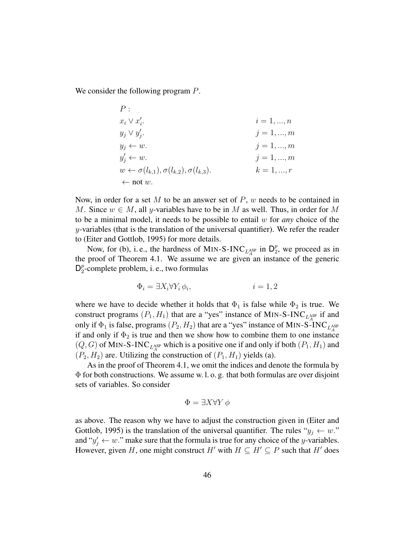We consider the following program  $P$ .

 $\overline{P}$ .

$$
x_{i} \vee x'_{i}.
$$
\n
$$
x_{j} \vee x'_{j}.
$$
\n
$$
y_{j} \vee y'_{j}.
$$
\n
$$
y_{j} \leftarrow w.
$$
\n
$$
y'_{j} \leftarrow w.
$$
\n
$$
y'_{j} \leftarrow w.
$$
\n
$$
y'_{j} \leftarrow w.
$$
\n
$$
y'_{j} \leftarrow w.
$$
\n
$$
j = 1, ..., m
$$
\n
$$
j = 1, ..., m
$$
\n
$$
k = 1, ..., r
$$
\n
$$
\leftarrow \text{not } w.
$$

Now, in order for a set M to be an answer set of  $P$ , w needs to be contained in M. Since  $w \in M$ , all y-variables have to be in M as well. Thus, in order for M to be a minimal model, it needs to be possible to entail w for *any* choice of the  $y$ -variables (that is the translation of the universal quantifier). We refer the reader to (Eiter and Gottlob, 1995) for more details.

Now, for (b), i.e., the hardness of MIN-S-INC<sub>LASP</sub> in  $D_2^p$  $_2^p$ , we proceed as in the proof of Theorem 4.1. We assume we are given an instance of the generic  $\mathsf{D}_2^p$  $_2^p$ -complete problem, i. e., two formulas

$$
\Phi_i = \exists X_i \forall Y_i \, \phi_i, \qquad i = 1, 2
$$

where we have to decide whether it holds that  $\Phi_1$  is false while  $\Phi_2$  is true. We construct programs  $(P_1, H_1)$  that are a "yes" instance of MIN-S-INC<sub>LASP</sub> if and only if  $\Phi_1$  is false, programs  $(P_2, H_2)$  that are a "yes" instance of MIN-S-INC<sub>LASP</sub> if and only if  $\Phi_2$  is true and then we show how to combine them to one instance  $(Q, G)$  of MIN-S-INC<sub>LASP</sub> which is a positive one if and only if both  $(P_1, H_1)$  and  $(P_2, H_2)$  are. Utilizing the construction of  $(P_1, H_1)$  yields (a).

As in the proof of Theorem 4.1, we omit the indices and denote the formula by  $\Phi$  for both constructions. We assume w. l. o. g. that both formulas are over disjoint sets of variables. So consider

$$
\Phi = \exists X \forall Y \phi
$$

as above. The reason why we have to adjust the construction given in (Eiter and Gottlob, 1995) is the translation of the universal quantifier. The rules " $y_i \leftarrow w$ ." and " $y'_j \leftarrow w$ ." make sure that the formula is true for any choice of the y-variables. However, given H, one might construct H' with  $H \subseteq H' \subseteq P$  such that H' does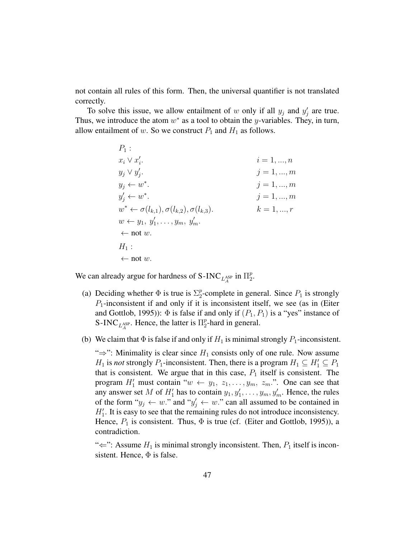not contain all rules of this form. Then, the universal quantifier is not translated correctly.

To solve this issue, we allow entailment of w only if all  $y_j$  and  $y'_j$  are true. Thus, we introduce the atom  $w^*$  as a tool to obtain the y-variables. They, in turn, allow entailment of w. So we construct  $P_1$  and  $H_1$  as follows.

> $P_1$ :  $x_i \vee x'_i$  $i = 1, ..., n$  $y_j \vee y'_j$  $j = 1, ..., m$  $y_j \leftarrow w^*$  $j = 1, ..., m$  $y'_j \leftarrow w^*$  $i = 1, ..., m$  $w^* \leftarrow \sigma(l_{k,1}), \sigma(l_{k,2}), \sigma(l_{k,3}).$   $k = 1, ..., r$  $w \leftarrow y_1, y'_1, \ldots, y_m, y'_m.$  $\leftarrow$  not w.  $H_1$ :  $\leftarrow$  not w.

We can already argue for hardness of S-INC  $_{L_A^{\text{ASP}}}$  in  $\Pi_2^p$  $\frac{p}{2}$ .

- (a) Deciding whether  $\Phi$  is true is  $\Sigma_2^p$  $_2^p$ -complete in general. Since  $P_1$  is strongly  $P_1$ -inconsistent if and only if it is inconsistent itself, we see (as in (Eiter and Gottlob, 1995)):  $\Phi$  is false if and only if  $(P_1, P_1)$  is a "yes" instance of S-INC<sub>LASP</sub>. Hence, the latter is  $\Pi_2^p$  $_2^p$ -hard in general.
- (b) We claim that  $\Phi$  is false if and only if  $H_1$  is minimal strongly  $P_1$ -inconsistent.

" $\Rightarrow$ ": Minimality is clear since  $H_1$  consists only of one rule. Now assume  $H_1$  is *not* strongly  $P_1$ -inconsistent. Then, there is a program  $H_1 \subseteq H_1' \subseteq P_1$ that is consistent. We argue that in this case,  $P_1$  itself is consistent. The program  $H'_1$  must contain " $w \leftarrow y_1, z_1, \ldots, y_m, z_m$ .". One can see that any answer set M of  $H'_1$  has to contain  $y_1, y'_1, \ldots, y_m, y'_m$ . Hence, the rules of the form " $y_j \leftarrow w$ ." and " $y'_j \leftarrow w$ ." can all assumed to be contained in  $H_1'$ . It is easy to see that the remaining rules do not introduce inconsistency. Hence,  $P_1$  is consistent. Thus,  $\Phi$  is true (cf. (Eiter and Gottlob, 1995)), a contradiction.

" $\Leftarrow$ ": Assume  $H_1$  is minimal strongly inconsistent. Then,  $P_1$  itself is inconsistent. Hence,  $\Phi$  is false.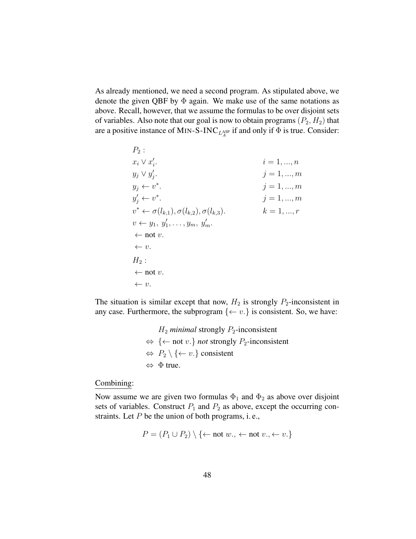As already mentioned, we need a second program. As stipulated above, we denote the given QBF by  $\Phi$  again. We make use of the same notations as above. Recall, however, that we assume the formulas to be over disjoint sets of variables. Also note that our goal is now to obtain programs  $(P_2, H_2)$  that are a positive instance of MIN-S-INC  $_{L_A^{\rm ASP}}$  if and only if  $\Phi$  is true. Consider:

$$
P_2:
$$
  
\n $x_i \vee x'_i$   
\n $y_j \vee y'_j$   
\n $y_j \leftarrow v^*$   
\n $y'_j \leftarrow v^*$   
\n $y'_j \leftarrow v^*$   
\n $j = 1, ..., m$   
\n $j = 1, ..., m$   
\n $j = 1, ..., m$   
\n $j = 1, ..., m$   
\n $j = 1, ..., m$   
\n $j = 1, ..., m$   
\n $k = 1, ..., r$   
\n $v \leftarrow y_1, y'_1, ..., y_m, y'_m$   
\n $\leftarrow$  not v.  
\n $\leftarrow v$ .  
\n $H_2:$   
\n $\leftarrow$  not v.  
\n $\leftarrow v$ .  
\n $\leftarrow$  v.  
\n $\leftarrow$  v.

The situation is similar except that now,  $H_2$  is strongly  $P_2$ -inconsistent in any case. Furthermore, the subprogram  $\{\leftarrow v.\}$  is consistent. So, we have:

$$
H_2
$$
 minimal strongly  $P_2$ -inconsistent  
\n $\Leftrightarrow$  { ← not v.} *not* strongly  $P_2$ -inconsistent  
\n $\Leftrightarrow$   $P_2 \setminus \{ \leftarrow v.\}$  consistent  
\n $\Leftrightarrow$   $\Phi$  true.

# Combining:

Now assume we are given two formulas  $\Phi_1$  and  $\Phi_2$  as above over disjoint sets of variables. Construct  $P_1$  and  $P_2$  as above, except the occurring constraints. Let  $P$  be the union of both programs, i.e.,

$$
P = (P_1 \cup P_2) \setminus \{\leftarrow \text{not } w., \leftarrow \text{not } v., \leftarrow v.\}
$$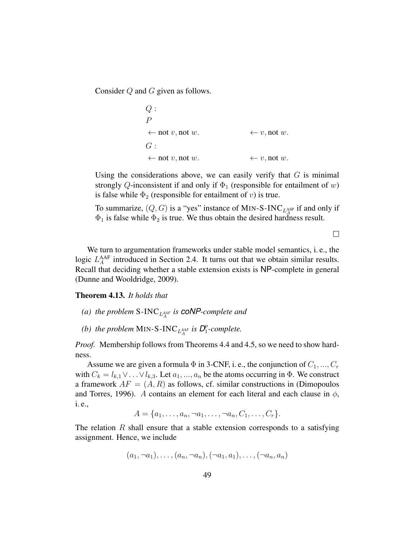Consider Q and G given as follows.

$$
Q: \\
P \leftarrow \text{not } v, \text{not } w. \\
G: \\
\leftarrow \text{not } v, \text{not } w. \\
\leftarrow v, \text{not } w.
$$
\n
$$
\leftarrow v, \text{not } w.
$$

Using the considerations above, we can easily verify that  $G$  is minimal strongly Q-inconsistent if and only if  $\Phi_1$  (responsible for entailment of w) is false while  $\Phi_2$  (responsible for entailment of v) is true.

To summarize,  $(Q, G)$  is a "yes" instance of MIN-S-INC<sub>LASP</sub> if and only if  $\Phi_1$  is false while  $\Phi_2$  is true. We thus obtain the desired hardness result.

 $\Box$ 

We turn to argumentation frameworks under stable model semantics, i. e., the logic  $L_A^{\text{AAF}}$  introduced in Section 2.4. It turns out that we obtain similar results. Recall that deciding whether a stable extension exists is NP-complete in general (Dunne and Wooldridge, 2009).

Theorem 4.13. *It holds that*

- *(a)* the problem S-INC  $_{L_A^{AAF}}$  is **coNP**-complete and
- *(b)* the problem MIN-S-INC<sub>LAAF</sub> is  $D_1^p$ 1 *-complete.*

*Proof.* Membership follows from Theorems 4.4 and 4.5, so we need to show hardness.

Assume we are given a formula  $\Phi$  in 3-CNF, i. e., the conjunction of  $C_1, ..., C_r$ with  $C_k = l_{k,1} \vee \ldots \vee l_{k,3}$ . Let  $a_1, \ldots, a_n$  be the atoms occurring in  $\Phi$ . We construct a framework  $AF = (A, R)$  as follows, cf. similar constructions in (Dimopoulos and Torres, 1996). A contains an element for each literal and each clause in  $\phi$ , i. e.,

 $A = \{a_1, \ldots, a_n, \neg a_1, \ldots, \neg a_n, C_1, \ldots, C_r\}.$ 

The relation  $R$  shall ensure that a stable extension corresponds to a satisfying assignment. Hence, we include

 $(a_1, \neg a_1), \ldots, (a_n, \neg a_n), (\neg a_1, a_1), \ldots, (\neg a_n, a_n)$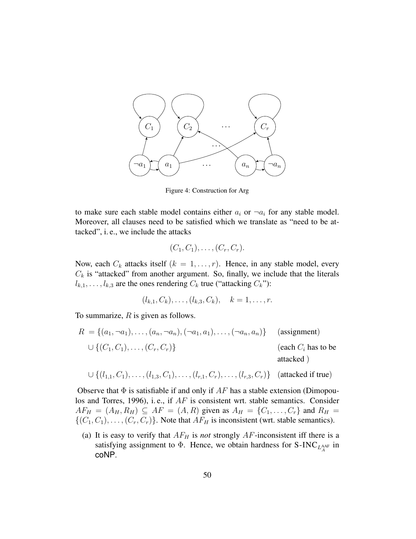

Figure 4: Construction for Arg

to make sure each stable model contains either  $a_i$  or  $\neg a_i$  for any stable model. Moreover, all clauses need to be satisfied which we translate as "need to be attacked", i. e., we include the attacks

$$
(C_1, C_1), \ldots, (C_r, C_r).
$$

Now, each  $C_k$  attacks itself  $(k = 1, \ldots, r)$ . Hence, in any stable model, every  $C_k$  is "attacked" from another argument. So, finally, we include that the literals  $l_{k,1}, \ldots, l_{k,3}$  are the ones rendering  $C_k$  true ("attacking  $C_k$ "):

$$
(l_{k,1}, C_k), \ldots, (l_{k,3}, C_k), \quad k = 1, \ldots, r.
$$

To summarize,  $R$  is given as follows.

$$
R = \{(a_1, \neg a_1), \dots, (a_n, \neg a_n), (\neg a_1, a_1), \dots, (\neg a_n, a_n)\} \qquad \text{(assignment)}
$$
\n
$$
\cup \{(C_1, C_1), \dots, (C_r, C_r)\} \qquad \text{(each } C_i \text{ has to beattached)}
$$

$$
\cup \{ (l_{1,1}, C_1), \ldots, (l_{1,3}, C_1), \ldots, (l_{r,1}, C_r), \ldots, (l_{r,3}, C_r) \}
$$
 (attached if true)

Observe that  $\Phi$  is satisfiable if and only if  $AF$  has a stable extension (Dimopoulos and Torres, 1996), i. e., if AF is consistent wrt. stable semantics. Consider  $AF_H = (A_H, R_H) \subseteq AF = (A, R)$  given as  $A_H = \{C_1, ..., C_r\}$  and  $R_H =$  $\{(C_1, C_1), \ldots, (C_r, C_r)\}\.$  Note that  $AF_H$  is inconsistent (wrt. stable semantics).

(a) It is easy to verify that  $AF_H$  is *not* strongly  $AF$ -inconsistent iff there is a satisfying assignment to  $\Phi$ . Hence, we obtain hardness for S-INC<sub>LAAF</sub> in coNP.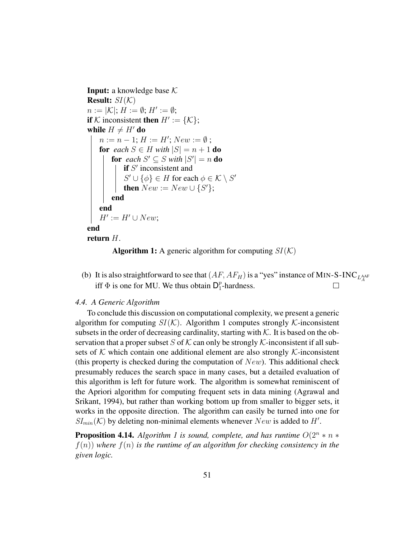**Input:** a knowledge base  $K$ **Result:**  $SI(K)$  $n := |\mathcal{K}|$ ;  $H := \emptyset$ ;  $H' := \emptyset$ ; if K inconsistent then  $H' := \{K\};$ while  $H \neq H'$  do  $n := n - 1; H := H'; New := \emptyset;$ **for** each  $S \in H$  with  $|S| = n + 1$  **do for** each  $S' \subseteq S$  with  $|S'| = n$  **do** if  $S'$  inconsistent and  $S' \cup \{\phi\} \in H$  for each  $\phi \in \mathcal{K} \setminus S'$ then  $New := New \cup \{S'\};$ end end  $H' := H' \cup New;$ end return H.



(b) It is also straightforward to see that  $(AF, AF_H)$  is a "yes" instance of MIN-S-INC  $_{L_A^{AAF}}$ iff  $\Phi$  is one for MU. We thus obtain  $\mathsf{D}_1^p$  $\Box$  $_1^p$ -hardness.

## *4.4. A Generic Algorithm*

To conclude this discussion on computational complexity, we present a generic algorithm for computing  $SI(K)$ . Algorithm 1 computes strongly K-inconsistent subsets in the order of decreasing cardinality, starting with  $K$ . It is based on the observation that a proper subset S of K can only be strongly K-inconsistent if all subsets of K which contain one additional element are also strongly  $K$ -inconsistent (this property is checked during the computation of  $New$ ). This additional check presumably reduces the search space in many cases, but a detailed evaluation of this algorithm is left for future work. The algorithm is somewhat reminiscent of the Apriori algorithm for computing frequent sets in data mining (Agrawal and Srikant, 1994), but rather than working bottom up from smaller to bigger sets, it works in the opposite direction. The algorithm can easily be turned into one for  $SI_{min}(\mathcal{K})$  by deleting non-minimal elements whenever  $New$  is added to  $H'$ .

**Proposition 4.14.** *Algorithm 1 is sound, complete, and has runtime*  $O(2^n * n *$  $f(n)$ ) where  $f(n)$  *is the runtime of an algorithm for checking consistency in the given logic.*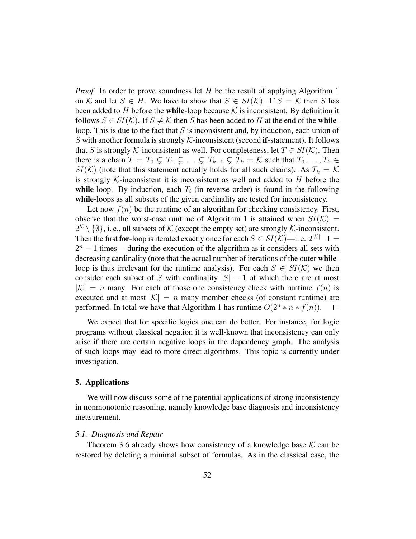*Proof.* In order to prove soundness let H be the result of applying Algorithm 1 on K and let  $S \in H$ . We have to show that  $S \in SI(K)$ . If  $S = K$  then S has been added to H before the while-loop because  $K$  is inconsistent. By definition it follows  $S \in SI(\mathcal{K})$ . If  $S \neq \mathcal{K}$  then S has been added to H at the end of the whileloop. This is due to the fact that  $S$  is inconsistent and, by induction, each union of S with another formula is strongly  $K$ -inconsistent (second if-statement). It follows that S is strongly K-inconsistent as well. For completeness, let  $T \in SI(\mathcal{K})$ . Then there is a chain  $T = T_0 \subsetneq T_1 \subsetneq \ldots \subsetneq T_{k-1} \subsetneq T_k = \mathcal{K}$  such that  $T_0, \ldots, T_k \in$  $SI(\mathcal{K})$  (note that this statement actually holds for all such chains). As  $T_k = \mathcal{K}$ is strongly K-inconsistent it is inconsistent as well and added to  $H$  before the while-loop. By induction, each  $T_i$  (in reverse order) is found in the following while-loops as all subsets of the given cardinality are tested for inconsistency.

Let now  $f(n)$  be the runtime of an algorithm for checking consistency. First, observe that the worst-case runtime of Algorithm 1 is attained when  $SI(\mathcal{K}) =$  $2^{\mathcal{K}} \setminus \{\emptyset\}$ , i. e., all subsets of  $\mathcal{K}$  (except the empty set) are strongly  $\mathcal{K}$ -inconsistent. Then the first **for**-loop is iterated exactly once for each  $S \in SI(\mathcal{K})$ —i. e.  $2^{|\mathcal{K}|}-1$  $2<sup>n</sup> - 1$  times— during the execution of the algorithm as it considers all sets with decreasing cardinality (note that the actual number of iterations of the outer whileloop is thus irrelevant for the runtime analysis). For each  $S \in SI(\mathcal{K})$  we then consider each subset of S with cardinality  $|S| - 1$  of which there are at most  $|K| = n$  many. For each of those one consistency check with runtime  $f(n)$  is executed and at most  $|\mathcal{K}| = n$  many member checks (of constant runtime) are performed. In total we have that Algorithm 1 has runtime  $O(2^n * n * f(n))$ .  $\Box$ 

We expect that for specific logics one can do better. For instance, for logic programs without classical negation it is well-known that inconsistency can only arise if there are certain negative loops in the dependency graph. The analysis of such loops may lead to more direct algorithms. This topic is currently under investigation.

#### 5. Applications

We will now discuss some of the potential applications of strong inconsistency in nonmonotonic reasoning, namely knowledge base diagnosis and inconsistency measurement.

#### *5.1. Diagnosis and Repair*

Theorem 3.6 already shows how consistency of a knowledge base  $K$  can be restored by deleting a minimal subset of formulas. As in the classical case, the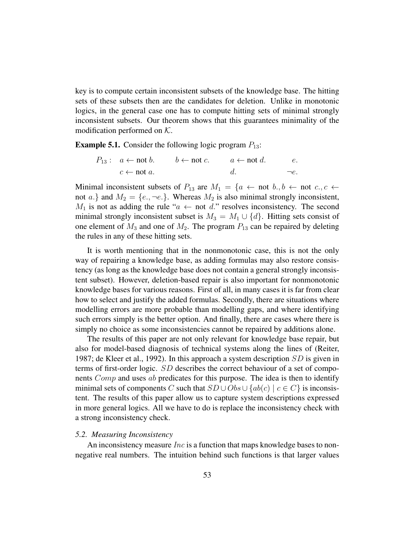key is to compute certain inconsistent subsets of the knowledge base. The hitting sets of these subsets then are the candidates for deletion. Unlike in monotonic logics, in the general case one has to compute hitting sets of minimal strongly inconsistent subsets. Our theorem shows that this guarantees minimality of the modification performed on  $K$ .

**Example 5.1.** Consider the following logic program  $P_{13}$ :

$$
P_{13}: a \leftarrow \text{not } b. \qquad b \leftarrow \text{not } c. \qquad a \leftarrow \text{not } d. \qquad e.
$$
  

$$
c \leftarrow \text{not } a. \qquad d. \qquad -e.
$$

Minimal inconsistent subsets of  $P_{13}$  are  $M_1 = \{a \leftarrow \text{not } b, b \leftarrow \text{not } c, c \leftarrow \}$ not a.} and  $M_2 = \{e, \neg e.\}$ . Whereas  $M_2$  is also minimal strongly inconsistent,  $M_1$  is not as adding the rule " $a \leftarrow$  not d." resolves inconsistency. The second minimal strongly inconsistent subset is  $M_3 = M_1 \cup \{d\}$ . Hitting sets consist of one element of  $M_3$  and one of  $M_2$ . The program  $P_{13}$  can be repaired by deleting the rules in any of these hitting sets.

It is worth mentioning that in the nonmonotonic case, this is not the only way of repairing a knowledge base, as adding formulas may also restore consistency (as long as the knowledge base does not contain a general strongly inconsistent subset). However, deletion-based repair is also important for nonmonotonic knowledge bases for various reasons. First of all, in many cases it is far from clear how to select and justify the added formulas. Secondly, there are situations where modelling errors are more probable than modelling gaps, and where identifying such errors simply is the better option. And finally, there are cases where there is simply no choice as some inconsistencies cannot be repaired by additions alone.

The results of this paper are not only relevant for knowledge base repair, but also for model-based diagnosis of technical systems along the lines of (Reiter, 1987; de Kleer et al., 1992). In this approach a system description SD is given in terms of first-order logic. SD describes the correct behaviour of a set of components *Comp* and uses ab predicates for this purpose. The idea is then to identify minimal sets of components C such that  $SD \cup Obs \cup \{ab(c) | c \in C\}$  is inconsistent. The results of this paper allow us to capture system descriptions expressed in more general logics. All we have to do is replace the inconsistency check with a strong inconsistency check.

#### *5.2. Measuring Inconsistency*

An inconsistency measure  $Inc$  is a function that maps knowledge bases to nonnegative real numbers. The intuition behind such functions is that larger values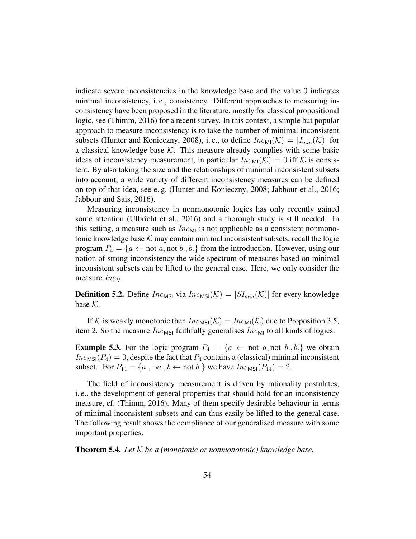indicate severe inconsistencies in the knowledge base and the value 0 indicates minimal inconsistency, i. e., consistency. Different approaches to measuring inconsistency have been proposed in the literature, mostly for classical propositional logic, see (Thimm, 2016) for a recent survey. In this context, a simple but popular approach to measure inconsistency is to take the number of minimal inconsistent subsets (Hunter and Konieczny, 2008), i.e., to define  $Inc_{\text{MI}}(\mathcal{K}) = |I_{min}(\mathcal{K})|$  for a classical knowledge base  $K$ . This measure already complies with some basic ideas of inconsistency measurement, in particular  $Inc_{\text{MI}}(\mathcal{K}) = 0$  iff K is consistent. By also taking the size and the relationships of minimal inconsistent subsets into account, a wide variety of different inconsistency measures can be defined on top of that idea, see e. g. (Hunter and Konieczny, 2008; Jabbour et al., 2016; Jabbour and Sais, 2016).

Measuring inconsistency in nonmonotonic logics has only recently gained some attention (Ulbricht et al., 2016) and a thorough study is still needed. In this setting, a measure such as  $Inc_{M1}$  is not applicable as a consistent nonmonotonic knowledge base  $K$  may contain minimal inconsistent subsets, recall the logic program  $P_4 = \{a \leftarrow not \ a, not \ b., b.\}$  from the introduction. However, using our notion of strong inconsistency the wide spectrum of measures based on minimal inconsistent subsets can be lifted to the general case. Here, we only consider the measure  $Inc_{ML}$ .

**Definition 5.2.** Define  $Inc_{MSI}$  via  $Inc_{MSI}(\mathcal{K}) = |SI_{min}(\mathcal{K})|$  for every knowledge base  $K$ .

If K is weakly monotonic then  $Inc_{MS}(\mathcal{K}) = Inc_{MI}(\mathcal{K})$  due to Proposition 3.5, item 2. So the measure  $Inc_{MSI}$  faithfully generalises  $Inc_{MI}$  to all kinds of logics.

**Example 5.3.** For the logic program  $P_4 = \{a \leftarrow \text{not } a, \text{not } b, b\}$  we obtain  $Inc_{MSI}(P_4) = 0$ , despite the fact that  $P_4$  contains a (classical) minimal inconsistent subset. For  $P_{14} = \{a., \neg a., b \leftarrow \text{not } b.\}$  we have  $Inc_{MSI}(P_{14}) = 2$ .

The field of inconsistency measurement is driven by rationality postulates, i. e., the development of general properties that should hold for an inconsistency measure, cf. (Thimm, 2016). Many of them specify desirable behaviour in terms of minimal inconsistent subsets and can thus easily be lifted to the general case. The following result shows the compliance of our generalised measure with some important properties.

Theorem 5.4. *Let* K *be a (monotonic or nonmonotonic) knowledge base.*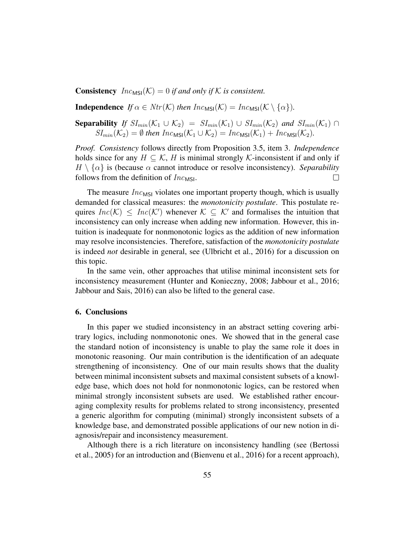**Consistency**  $Inc_{MSI}(\mathcal{K}) = 0$  *if and only if*  $\mathcal{K}$  *is consistent.* 

**Independence** *If*  $\alpha \in Ntr(\mathcal{K})$  *then*  $Inc_{MS}(\mathcal{K}) = Inc_{MS}(\mathcal{K} \setminus {\{\alpha\}})$ *.* 

**Separability** *If*  $SI_{min}(\mathcal{K}_1 \cup \mathcal{K}_2) = SI_{min}(\mathcal{K}_1) \cup SI_{min}(\mathcal{K}_2)$  *and*  $SI_{min}(\mathcal{K}_1) \cap$  $SI_{min}(\mathcal{K}_2) = \emptyset$  *then*  $Inc_{MSI}(\mathcal{K}_1 \cup \mathcal{K}_2) = Inc_{MSI}(\mathcal{K}_1) + Inc_{MSI}(\mathcal{K}_2)$ .

*Proof. Consistency* follows directly from Proposition 3.5, item 3. *Independence* holds since for any  $H \subset \mathcal{K}$ , H is minimal strongly K-inconsistent if and only if  $H \setminus \{\alpha\}$  is (because  $\alpha$  cannot introduce or resolve inconsistency). *Separability* follows from the definition of  $Inc_{MSI}$ .  $\Box$ 

The measure  $Inc_{MS}$  violates one important property though, which is usually demanded for classical measures: the *monotonicity postulate*. This postulate requires  $Inc(K) \leq Inc(K')$  whenever  $K \subseteq K'$  and formalises the intuition that inconsistency can only increase when adding new information. However, this intuition is inadequate for nonmonotonic logics as the addition of new information may resolve inconsistencies. Therefore, satisfaction of the *monotonicity postulate* is indeed *not* desirable in general, see (Ulbricht et al., 2016) for a discussion on this topic.

In the same vein, other approaches that utilise minimal inconsistent sets for inconsistency measurement (Hunter and Konieczny, 2008; Jabbour et al., 2016; Jabbour and Sais, 2016) can also be lifted to the general case.

# 6. Conclusions

In this paper we studied inconsistency in an abstract setting covering arbitrary logics, including nonmonotonic ones. We showed that in the general case the standard notion of inconsistency is unable to play the same role it does in monotonic reasoning. Our main contribution is the identification of an adequate strengthening of inconsistency. One of our main results shows that the duality between minimal inconsistent subsets and maximal consistent subsets of a knowledge base, which does not hold for nonmonotonic logics, can be restored when minimal strongly inconsistent subsets are used. We established rather encouraging complexity results for problems related to strong inconsistency, presented a generic algorithm for computing (minimal) strongly inconsistent subsets of a knowledge base, and demonstrated possible applications of our new notion in diagnosis/repair and inconsistency measurement.

Although there is a rich literature on inconsistency handling (see (Bertossi et al., 2005) for an introduction and (Bienvenu et al., 2016) for a recent approach),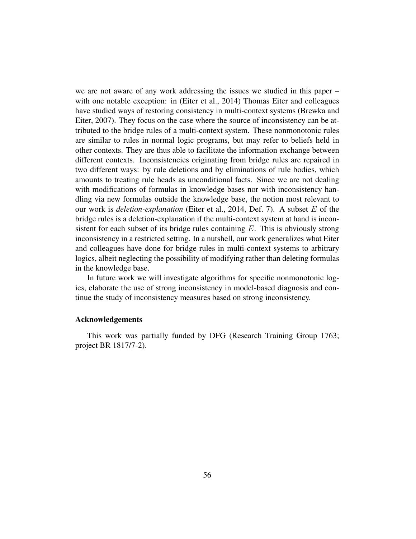we are not aware of any work addressing the issues we studied in this paper – with one notable exception: in (Eiter et al., 2014) Thomas Eiter and colleagues have studied ways of restoring consistency in multi-context systems (Brewka and Eiter, 2007). They focus on the case where the source of inconsistency can be attributed to the bridge rules of a multi-context system. These nonmonotonic rules are similar to rules in normal logic programs, but may refer to beliefs held in other contexts. They are thus able to facilitate the information exchange between different contexts. Inconsistencies originating from bridge rules are repaired in two different ways: by rule deletions and by eliminations of rule bodies, which amounts to treating rule heads as unconditional facts. Since we are not dealing with modifications of formulas in knowledge bases nor with inconsistency handling via new formulas outside the knowledge base, the notion most relevant to our work is *deletion-explanation* (Eiter et al., 2014, Def. 7). A subset E of the bridge rules is a deletion-explanation if the multi-context system at hand is inconsistent for each subset of its bridge rules containing  $E$ . This is obviously strong inconsistency in a restricted setting. In a nutshell, our work generalizes what Eiter and colleagues have done for bridge rules in multi-context systems to arbitrary logics, albeit neglecting the possibility of modifying rather than deleting formulas in the knowledge base.

In future work we will investigate algorithms for specific nonmonotonic logics, elaborate the use of strong inconsistency in model-based diagnosis and continue the study of inconsistency measures based on strong inconsistency.

#### Acknowledgements

This work was partially funded by DFG (Research Training Group 1763; project BR 1817/7-2).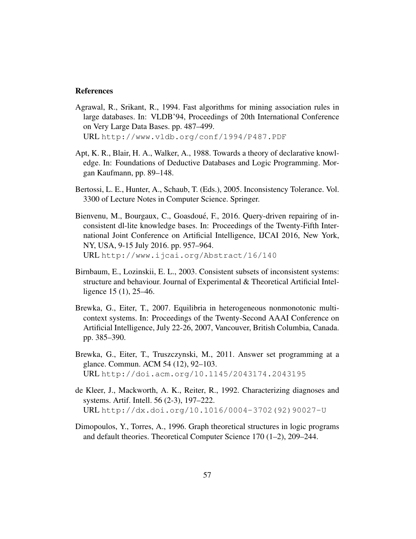#### References

- Agrawal, R., Srikant, R., 1994. Fast algorithms for mining association rules in large databases. In: VLDB'94, Proceedings of 20th International Conference on Very Large Data Bases. pp. 487–499. URL http://www.vldb.org/conf/1994/P487.PDF
- Apt, K. R., Blair, H. A., Walker, A., 1988. Towards a theory of declarative knowledge. In: Foundations of Deductive Databases and Logic Programming. Morgan Kaufmann, pp. 89–148.
- Bertossi, L. E., Hunter, A., Schaub, T. (Eds.), 2005. Inconsistency Tolerance. Vol. 3300 of Lecture Notes in Computer Science. Springer.
- Bienvenu, M., Bourgaux, C., Goasdoué, F., 2016. Query-driven repairing of inconsistent dl-lite knowledge bases. In: Proceedings of the Twenty-Fifth International Joint Conference on Artificial Intelligence, IJCAI 2016, New York, NY, USA, 9-15 July 2016. pp. 957–964. URL http://www.ijcai.org/Abstract/16/140
- Birnbaum, E., Lozinskii, E. L., 2003. Consistent subsets of inconsistent systems: structure and behaviour. Journal of Experimental & Theoretical Artificial Intelligence 15 (1), 25–46.
- Brewka, G., Eiter, T., 2007. Equilibria in heterogeneous nonmonotonic multicontext systems. In: Proceedings of the Twenty-Second AAAI Conference on Artificial Intelligence, July 22-26, 2007, Vancouver, British Columbia, Canada. pp. 385–390.
- Brewka, G., Eiter, T., Truszczynski, M., 2011. Answer set programming at a glance. Commun. ACM 54 (12), 92–103. URL http://doi.acm.org/10.1145/2043174.2043195
- de Kleer, J., Mackworth, A. K., Reiter, R., 1992. Characterizing diagnoses and systems. Artif. Intell. 56 (2-3), 197–222. URL http://dx.doi.org/10.1016/0004-3702(92)90027-U
- Dimopoulos, Y., Torres, A., 1996. Graph theoretical structures in logic programs and default theories. Theoretical Computer Science 170 (1–2), 209–244.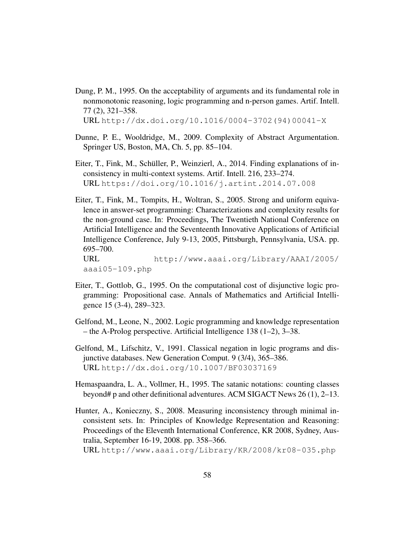Dung, P. M., 1995. On the acceptability of arguments and its fundamental role in nonmonotonic reasoning, logic programming and n-person games. Artif. Intell. 77 (2), 321–358.

URL http://dx.doi.org/10.1016/0004-3702(94)00041-X

- Dunne, P. E., Wooldridge, M., 2009. Complexity of Abstract Argumentation. Springer US, Boston, MA, Ch. 5, pp. 85–104.
- Eiter, T., Fink, M., Schüller, P., Weinzierl, A., 2014. Finding explanations of inconsistency in multi-context systems. Artif. Intell. 216, 233–274. URL https://doi.org/10.1016/j.artint.2014.07.008
- Eiter, T., Fink, M., Tompits, H., Woltran, S., 2005. Strong and uniform equivalence in answer-set programming: Characterizations and complexity results for the non-ground case. In: Proceedings, The Twentieth National Conference on Artificial Intelligence and the Seventeenth Innovative Applications of Artificial Intelligence Conference, July 9-13, 2005, Pittsburgh, Pennsylvania, USA. pp. 695–700. URL http://www.aaai.org/Library/AAAI/2005/

```
aaai05-109.php
```
- Eiter, T., Gottlob, G., 1995. On the computational cost of disjunctive logic programming: Propositional case. Annals of Mathematics and Artificial Intelligence 15 (3-4), 289–323.
- Gelfond, M., Leone, N., 2002. Logic programming and knowledge representation – the A-Prolog perspective. Artificial Intelligence 138 (1–2), 3–38.
- Gelfond, M., Lifschitz, V., 1991. Classical negation in logic programs and disjunctive databases. New Generation Comput. 9 (3/4), 365–386. URL http://dx.doi.org/10.1007/BF03037169
- Hemaspaandra, L. A., Vollmer, H., 1995. The satanic notations: counting classes beyond# p and other definitional adventures. ACM SIGACT News 26 (1), 2–13.
- Hunter, A., Konieczny, S., 2008. Measuring inconsistency through minimal inconsistent sets. In: Principles of Knowledge Representation and Reasoning: Proceedings of the Eleventh International Conference, KR 2008, Sydney, Australia, September 16-19, 2008. pp. 358–366. URL http://www.aaai.org/Library/KR/2008/kr08-035.php